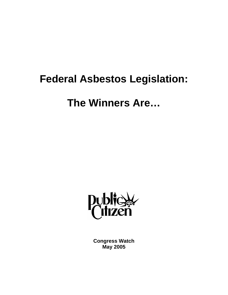# **Federal Asbestos Legislation:**

# **The Winners Are…**



**Congress Watch May 2005**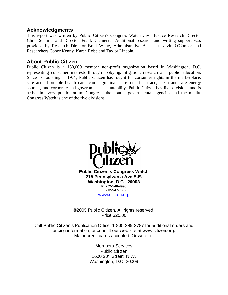### **Acknowledgments**

This report was written by Public Citizen's Congress Watch Civil Justice Research Director Chris Schmitt and Director Frank Clemente. Additional research and writing support was provided by Research Director Brad White, Administrative Assistant Kevin O'Connor and Researchers Conor Kenny, Karen Robb and Taylor Lincoln.

### **About Public Citizen**

Public Citizen is a 150,000 member non-profit organization based in Washington, D.C. representing consumer interests through lobbying, litigation, research and public education. Since its founding in 1971, Public Citizen has fought for consumer rights in the marketplace, safe and affordable health care, campaign finance reform, fair trade, clean and safe energy sources, and corporate and government accountability. Public Citizen has five divisions and is active in every public forum: Congress, the courts, governmental agencies and the media. Congress Watch is one of the five divisions.



©2005 Public Citizen. All rights reserved. Price \$25.00

Call Public Citizen's Publication Office, 1-800-289-3787 for additional orders and pricing information, or consult our web site at www.citizen.org. Major credit cards accepted. Or write to:

> Members Services Public Citizen 1600 20<sup>th</sup> Street, N.W. Washington, D.C. 20009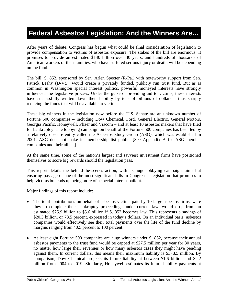# **Federal Asbestos Legislation: And the Winners Are…**

After years of debate, Congress has begun what could be final consideration of legislation to provide compensation to victims of asbestos exposure. The stakes of the bill are enormous: It promises to provide an estimated \$140 billion over 30 years, and hundreds of thousands of American workers or their families, who have suffered serious injury or death, will be depending on the fund.

The bill, S. 852, sponsored by Sen. Arlen Specter (R-Pa.) with noteworthy support from Sen. Patrick Leahy (D-Vt.), would create a privately funded, publicly run trust fund. But as is common in Washington special interest politics, powerful moneyed interests have strongly influenced the legislative process. Under the guise of providing aid to victims, these interests have successfully written down their liability by tens of billions of dollars – thus sharply reducing the funds that will be available to victims.

These big winners in the legislation now before the U.S. Senate are an unknown number of Fortune 500 companies – including Dow Chemical, Ford, General Electric, General Motors, Georgia Pacific, Honeywell, Pfizer and Viacom – and at least 10 asbestos makers that have filed for bankruptcy. The lobbying campaign on behalf of the Fortune 500 companies has been led by a relatively obscure entity called the Asbestos Study Group (ASG), which was established in 2001. ASG does not make its membership list public. [See Appendix A for ASG member companies and their allies.]

At the same time, some of the nation's largest and savviest investment firms have positioned themselves to score big rewards should the legislation pass.

This report details the behind-the-scenes action, with its huge lobbying campaign, aimed at ensuring passage of one of the most significant bills in Congress – legislation that promises to help victims but ends up being more of a special interest bailout.

Major findings of this report include:

- The total contributions on behalf of asbestos victims paid by 10 large asbestos firms, were they to complete their bankruptcy proceedings under current law, would drop from an estimated \$25.9 billion to \$5.6 billion if S. 852 becomes law. This represents a savings of \$20.3 billion, or 78.5 percent, expressed in today's dollars. On an individual basis, asbestos companies would effectively see their total payments over the life of the fund decline by margins ranging from 40.5 percent to 100 percent.
- At least eight Fortune 500 companies are huge winners under S. 852, because their annual asbestos payments to the trust fund would be capped at \$27.5 million per year for 30 years, no matter how large their revenues or how many asbestos cases they might have pending against them. In current dollars, this means their maximum liability is \$378.5 million. By comparison, Dow Chemical projects its future liability at between \$1.6 billion and \$2.2 billion from 2004 to 2019. Similarly, Honeywell estimates its future liability payments at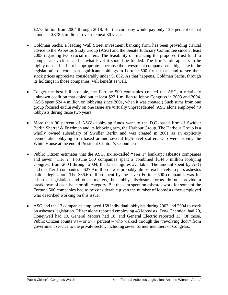\$2.75 billion from 2004 through 2018. But the company would pay only 13.8 percent of that amount – \$378.5 million – over the next 30 years.

- Goldman Sachs, a leading Wall Street investment banking firm, has been providing critical advice to the Asbestos Study Group (ASG) and the Senate Judiciary Committee since at least 2003 regarding two crucial matters: The feasibility of financing the proposed trust fund to compensate victims, and at what level it should be funded. The firm's role appears to be highly unusual – if not inappropriate – because the investment company has a big stake in the legislation's outcome via significant holdings in Fortune 500 firms that stand to see their stock prices appreciate considerably under S. 852. As that happens, Goldman Sachs, through its holdings in those companies, will benefit as well.
- To get the best bill possible, the Fortune 500 companies created the ASG, a relatively unknown coalition that doled out at least \$23.1 million to lobby Congress in 2003 and 2004. (ASG spent \$24.4 million on lobbying since 2001, when it was created.) Such sums from one group focused exclusively on one issue are virtually unprecedented. ASG alone employed 40 lobbyists during those two years.
- More than 90 percent of ASG's lobbying funds went to the D.C.-based firm of Swidler Berlin Sherref & Friedman and its lobbying arm, the Harbour Group. The Harbour Group is a wholly owned subsidiary of Swidler Berlin and was created in 2001 as an explicitly Democratic lobbying firm based around several high-level staffers who were leaving the White House at the end of President Clinton's second term.
- Public Citizen estimates that the ASG, six so-called "Tier 1" bankrupt asbestos companies and seven "Tier 2" Fortune 500 companies spent a combined \$144.5 million lobbying Congress from 2003 through 2004, the latest figures available. The amount spent by ASG and the Tier 1 companies – \$27.9 million – was probably almost exclusively to pass asbestos bailout legislation. The \$86.6 million spent by the seven Fortune 500 companies was for asbestos legislation and other matters, but lobby disclosure forms do not provide a breakdown of each issue or bill category. But the sum spent on asbestos work for some of the Fortune 500 companies had to be considerable given the number of lobbyists they employed who described working on this issue.
- ASG and the 13 companies employed 168 individual lobbyists during 2003 and 2004 to work on asbestos legislation. Pfizer alone reported employing 45 lobbyists, Dow Chemical had 20, Honeywell had 19, General Motors had 18, and General Electric reported 13. Of those, Public Citizen counts  $94 -$  or 57.7 percent – who walked through the "revolving door" from government service to the private sector, including seven former members of Congress.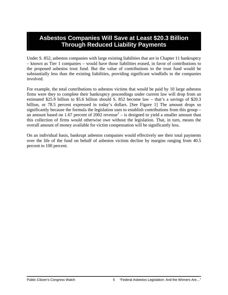### **Asbestos Companies Will Save at Least \$20.3 Billion Through Reduced Liability Payments**

Under S. 852, asbestos companies with large existing liabilities that are in Chapter 11 bankruptcy – known as Tier 1 companies – would have those liabilities erased, in favor of contributions to the proposed asbestos trust fund. But the value of contributions to the trust fund would be substantially less than the existing liabilities, providing significant windfalls to the companies involved.

For example, the total contributions to asbestos victims that would be paid by 10 large asbestos firms were they to complete their bankruptcy proceedings under current law will drop from an estimated \$25.9 billion to \$5.6 billion should S. 852 become law – that's a savings of \$20.3 billion, or 78.5 percent expressed in today's dollars. [See Figure 1] The amount drops so significantly because the formula the legislation uses to establish contributions from this group – an amount based on 1.67 percent of  $2002$  revenue<sup>1</sup> – is designed to yield a smaller amount than this collection of firms would otherwise owe without the legislation. That, in turn, means the overall amount of money available for victim compensation will be significantly less.

On an individual basis, bankrupt asbestos companies would effectively see their total payments over the life of the fund on behalf of asbestos victims decline by margins ranging from 40.5 percent to 100 percent.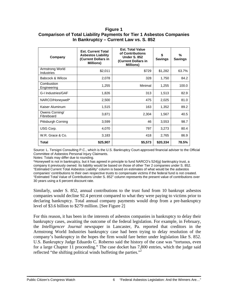### **Figure 1 Comparison of Total Liability Payments for Tier 1 Asbestos Companies In Bankruptcy – Current Law vs. S. 852**

| Company                              | <b>Est. Current Total</b><br><b>Asbestos Liability</b><br>(Current Dollars in<br><b>Millions)</b> | <b>Est. Total Value</b><br>of Contributions<br><b>Under S. 852</b><br>(Current Dollars in<br><b>Millions)</b> | \$<br><b>Savings</b> | ℅<br><b>Savings</b> |
|--------------------------------------|---------------------------------------------------------------------------------------------------|---------------------------------------------------------------------------------------------------------------|----------------------|---------------------|
| Armstrong World<br><b>Industries</b> | \$2,011                                                                                           | \$729                                                                                                         | \$1,282              | 63.7%               |
| Babcock & Wilcox                     | 2,078                                                                                             | 328                                                                                                           | 1,750                | 84.2                |
| Combustion<br>Engineering            | 1,255                                                                                             | Minimal                                                                                                       | 1,255                | 100.0               |
| G-I Industries/GAF                   | 1,826                                                                                             | 313                                                                                                           | 1,513                | 82.9                |
| NARCO/Honeywell*                     | 2,500                                                                                             | 475                                                                                                           | 2,025                | 81.0                |
| Kaiser Aluminum                      | 1,515                                                                                             | 163                                                                                                           | 1,352                | 89.2                |
| Owens Corning/<br>Fibreboard         | 3,871                                                                                             | 2,304                                                                                                         | 1,567                | 40.5                |
| Pittsburgh Corning                   | 3,599                                                                                             | 46                                                                                                            | 3,553                | 98.7                |
| USG Corp.                            | 4,070                                                                                             | 797                                                                                                           | 3,273                | 80.4                |
| W.R. Grace & Co.                     | 3,183                                                                                             | 418                                                                                                           | 2,765                | 86.9                |
| Total                                | \$25,907                                                                                          | \$5,573                                                                                                       | \$20,334             | 78.5%               |

Source: L. Tersigni Consulting P.C., which is the U.S. Bankruptcy Court-approved financial adviser to the Official Committee of Asbestos Personal Injury Claimants.

Notes: Totals may differ due to rounding.

\*Honeywell is not in bankruptcy, but it has agreed in principle to fund NARCO's 524(g) bankruptcy trust, a company it previously owned. Its liability would be based on those of other Tier 2 companies under S. 852. "Estimated Current Total Asbestos Liability" column is based on estimates of what would be the asbestos companies' contributions to their own respective trusts to compensate victims if the federal fund is not created. "Estimated Total Value of Contributions Under S. 852" column represents the present value of contributions over 30 years using a 6 percent discount rate.

Similarly, under S. 852, annual contributions to the trust fund from 10 bankrupt asbestos companies would decline 92.4 percent compared to what they were paying to victims prior to declaring bankruptcy. Total annual company payments would drop from a pre-bankruptcy level of \$3.6 billion to \$279 million. [See Figure 2]

For this reason, it has been in the interests of asbestos companies in bankruptcy to delay their bankruptcy cases, awaiting the outcome of the federal legislation. For example, in February, the *Intelligencer Journal* newspaper in Lancaster, Pa. reported that creditors in the Armstrong World Industries bankruptcy case had been trying to delay resolution of the company's bankruptcy in the hopes the firm would fare better under legislation like S. 852. U.S. Bankruptcy Judge Eduardo C. Roberno said the history of the case was "tortuous, even for a large Chapter 11 proceeding." The case docket has 7,800 entries, which the judge said reflected "the shifting political winds buffeting the parties."<sup>2</sup>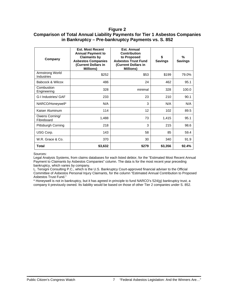#### **Figure 2**

### **Comparison of Total Annual Liability Payments for Tier 1 Asbestos Companies in Bankruptcy – Pre-bankruptcy Payments vs. S. 852**

| Company                              | <b>Est. Most Recent</b><br><b>Annual Payment to</b><br><b>Claimants by</b><br><b>Asbestos Companies</b><br>(Current Dollars in<br><b>Millions)</b> | Est. Annual<br>Contribution<br>to Proposed<br><b>Asbestos Trust Fund</b><br>(Current Dollars in<br><b>Millions</b> ) | \$<br><b>Savings</b> | %<br><b>Savings</b> |
|--------------------------------------|----------------------------------------------------------------------------------------------------------------------------------------------------|----------------------------------------------------------------------------------------------------------------------|----------------------|---------------------|
| Armstrong World<br><b>Industries</b> | \$252                                                                                                                                              | \$53                                                                                                                 | \$199                | 79.0%               |
| Babcock & Wilcox                     | 486                                                                                                                                                | 24                                                                                                                   | 462                  | 95.1                |
| Combustion<br>Engineering            | 328                                                                                                                                                | minimal                                                                                                              | 328                  | 100.0               |
| <b>G-I Industries/ GAF</b>           | 233                                                                                                                                                | 23                                                                                                                   | 210                  | 90.1                |
| NARCO/Honeywell*                     | N/A                                                                                                                                                | 3                                                                                                                    | N/A                  | N/A                 |
| Kaiser Aluminum                      | 114                                                                                                                                                | 12                                                                                                                   | 102                  | 89.5                |
| Owens Corning/<br>Fibreboard         | 1,488                                                                                                                                              | 73                                                                                                                   | 1,415                | 95.1                |
| Pittsburgh Corning                   | 218                                                                                                                                                | 3                                                                                                                    | 215                  | 98.6                |
| USG Corp.                            | 143                                                                                                                                                | 58                                                                                                                   | 85                   | 59.4                |
| W.R. Grace & Co.                     | 370                                                                                                                                                | 30                                                                                                                   | 340                  | 91.9                |
| <b>Total</b>                         | \$3,632                                                                                                                                            | \$279                                                                                                                | \$3,356              | 92.4%               |

Sources:

Legal Analysis Systems, from claims databases for each listed debtor, for the "Estimated Most Recent Annual Payment to Claimants by Asbestos Companies" column. The data is for the most recent year preceding bankruptcy, which varies by company.

L. Tersigni Consulting P.C., which is the U.S. Bankruptcy Court-approved financial adviser to the Official Committee of Asbestos Personal Injury Claimants, for the column "Estimated Annual Contribution to Proposed Asbestos Trust Fund."

\* Honeywell is not in bankruptcy, but it has agreed in principle to fund NARCO's 524(g) bankruptcy trust, a company it previously owned. Its liability would be based on those of other Tier 2 companies under S. 852.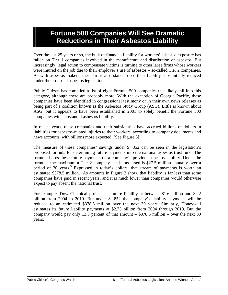# **Fortune 500 Companies Will See Dramatic Reductions in Their Asbestos Liability**

Over the last 25 years or so, the bulk of financial liability for workers' asbestos exposure has fallen on Tier 1 companies involved in the manufacture and distribution of asbestos. But increasingly, legal action to compensate victims is turning to other large firms whose workers were injured on the job due to their employer's use of asbestos – so-called Tier 2 companies. As with asbestos makers, these firms also stand to see their liability substantially reduced under the proposed asbestos legislation.

Public Citizen has compiled a list of eight Fortune 500 companies that likely fall into this category, although there are probably more. With the exception of Georgia Pacific, these companies have been identified in congressional testimony or in their own news releases as being part of a coalition known as the Asbestos Study Group (ASG). Little is known about ASG, but it appears to have been established in 2001 to solely benefit the Fortune 500 companies with substantial asbestos liability.

In recent years, these companies and their subsidiaries have accrued billions of dollars in liabilities for asbestos-related injuries to their workers, according to company documents and news accounts, with billions more expected. [See Figure 3]

The measure of these companies' savings under S. 852 can be seen in the legislation's proposed formula for determining future payments into the national asbestos trust fund. The formula bases these future payments on a company's previous asbestos liability. Under the formula, the maximum a Tier 2 company can be assessed is \$27.5 million annually over a period of 30 years.<sup>3</sup> Expressed in today's dollars, that stream of payments is worth an estimated  $$378.5$  million.<sup>4</sup> As amounts in Figure 3 show, that liability is far less than some companies have paid in recent years, and it is much lower than companies would otherwise expect to pay absent the national trust.

For example, Dow Chemical projects its future liability at between \$1.6 billion and \$2.2 billion from 2004 to 2019. But under S. 852 the company's liability payments will be reduced to an estimated \$378.5 million over the next 30 years. Similarly, Honeywell estimates its future liability payments at \$2.75 billion from 2004 through 2018. But the company would pay only 13.8 percent of that amount  $-$  \$378.5 million  $-$  over the next 30 years.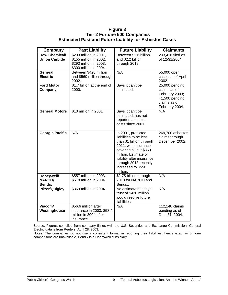#### **Figure 3 Tier 2 Fortune 500 Companies Estimated Past and Future Liability for Asbestos Cases**

| Company                                      | <b>Past Liability</b>                                                                                | <b>Future Liability</b>                                                                                                                                                                                                                    | <b>Claimants</b>                                                                                     |
|----------------------------------------------|------------------------------------------------------------------------------------------------------|--------------------------------------------------------------------------------------------------------------------------------------------------------------------------------------------------------------------------------------------|------------------------------------------------------------------------------------------------------|
| <b>Dow Chemical/</b><br><b>Union Carbide</b> | \$233 million in 2001,<br>\$155 million in 2002,<br>\$293 million in 2003,<br>\$300 million in 2004. | Between \$1.6 billion<br>and \$2.2 billion<br>through 2019.                                                                                                                                                                                | $203,416$ filed as<br>of 12/31/2004.                                                                 |
| General<br><b>Electric</b>                   | Between \$420 million<br>and \$560 million through<br>2002.                                          | N/A                                                                                                                                                                                                                                        | 55,000 open<br>cases as of April<br>2002.                                                            |
| <b>Ford Motor</b><br>Company                 | \$1.7 billion at the end of<br>2000.                                                                 | Says it can't be<br>estimated.                                                                                                                                                                                                             | 25,000 pending<br>claims as of<br>February 2003;<br>41,500 pending<br>claims as of<br>February 2004. |
| <b>General Motors</b>                        | \$10 million in 2001.                                                                                | Says it can't be<br>estimated; has not<br>reported asbestos<br>costs since 2001.                                                                                                                                                           | N/A                                                                                                  |
| Georgia Pacific                              | N/A                                                                                                  | In 2001, predicted<br>liabilities to be less<br>than \$1 billion through<br>2011, with insurance<br>covering all but \$350<br>million. Estimate of<br>liability after insurance<br>through 2013 recently<br>increased to \$550<br>million. | 269,700 asbestos<br>claims through<br>December 2002.                                                 |
| Honeywell/<br><b>NARCO/</b><br><b>Bendix</b> | \$557 million in 2003,<br>\$518 million in 2004.                                                     | \$2.75 billion through<br>2018 for NARCO and<br>Bendix.                                                                                                                                                                                    | N/A                                                                                                  |
| <b>Pfizer/Quigley</b>                        | \$369 million in 2004.                                                                               | No estimate but says<br>trust of \$430 million<br>would resolve future<br>liabilities.                                                                                                                                                     | N/A                                                                                                  |
| Viacom/<br>Westinghouse                      | \$56.6 million after<br>insurance in 2003, \$58.4<br>million in 2004 after<br>insurance.             | N/A                                                                                                                                                                                                                                        | 112,140 claims<br>pending as of<br>Dec. 31, 2004.                                                    |

Source: Figures compiled from company filings with the U.S. Securities and Exchange Commission. General Electric data is from Reuters, April 28, 2003.

Notes: The companies do not use a consistent format in reporting their liabilities; hence exact or uniform comparisons are unavailable. Bendix is a Honeywell subsidiary.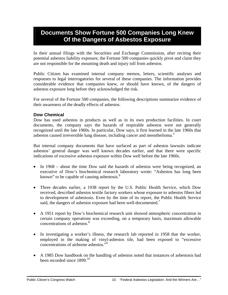### **Documents Show Fortune 500 Companies Long Knew Of the Dangers of Asbestos Exposure**

In their annual filings with the Securities and Exchange Commission, after reciting their potential asbestos liability exposure, the Fortune 500 companies quickly pivot and claim they are not responsible for the mounting death and injury toll from asbestos.

Public Citizen has examined internal company memos, letters, scientific analyses and responses to legal interrogatories for several of these companies. The information provides considerable evidence that companies knew, or should have known, of the dangers of asbestos exposure long before they acknowledged the risk.

For several of the Fortune 500 companies, the following descriptions summarize evidence of their awareness of the deadly effects of asbestos.

### **Dow Chemical**

Dow has used asbestos in products as well as in its own production facilities. In court documents, the company says the hazards of respirable asbestos were not generally recognized until the late 1960s. In particular, Dow says, it first learned in the late 1960s that asbestos caused irreversible lung disease, including cancer and mesothelioma.<sup>5</sup>

But internal company documents that have surfaced as part of asbestos lawsuits indicate asbestos' general danger was well known decades earlier, and that there were specific indications of excessive asbestos exposure within Dow well before the late 1960s.

- In 1968 about the time Dow said the hazards of asbestos were being recognized, an executive of Dow's biochemical research laboratory wrote: "Asbestos has long been known" to be capable of causing asbestosis.<sup>6</sup>
- Three decades earlier, a 1938 report by the U.S. Public Health Service, which Dow received, described asbestos textile factory workers whose exposure to asbestos fibers led to development of asbestosis. Even by the time of its report, the Public Health Service said, the dangers of asbestos exposure had been well-documented.<sup>7</sup>
- A 1951 report by Dow's biochemical research unit showed atmospheric concentration in certain company operations was exceeding, on a temporary basis, maximum allowable concentrations of asbestos.<sup>8</sup>
- In investigating a worker's illness, the research lab reported in 1958 that the worker, employed in the making of vinyl-asbestos tile, had been exposed to "excessive concentrations of airborne asbestos."9
- A 1985 Dow handbook on the handling of asbestos noted that instances of asbestosis had been recorded since  $1899$ <sup>10</sup>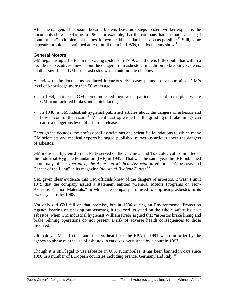After the dangers of exposure became known, Dow took steps to stem worker exposure, the documents show, declaring in 1969, for example, that the company had "a moral and legal commitment" to implement the best known health standards as soon as possible.<sup>11</sup> Still, some exposure problems continued at least until the mid-1980s, the documents show.<sup>12</sup>

### **General Motors**

GM began using asbestos in its braking systems in 1939, and there is little doubt that within a decade its executives knew about the dangers from asbestos. In addition to breaking systems, another significant GM use of asbestos was in automobile clutches.

A review of the documents produced in various civil cases paints a clear portrait of GM's level of knowledge more than 50 years ago.

- In 1939, an internal GM memo indicated there was a particular hazard in the plant where GM manufactured brakes and clutch facings.<sup>13</sup>
- In 1948, a GM industrial hygienist published articles about the dangers of asbestos and how to control the hazard.<sup>14</sup> Vincent Castrop wrote that the grinding of brake linings can cause a dangerous level of asbestos release.

Through the decades, the professional associations and scientific foundations to which many GM scientists and medical experts belonged published numerous articles about the dangers of asbestos.

GM industrial hygienist Frank Patty served on the Chemical and Toxicological Committee of the Industrial Hygiene Foundation (IHF) in 1949. That was the same year the IHF published a summary of the *Journal of the American Medical Association* editorial "Asbestosis and Cancer of the Lung" in its magazine *Industrial Hygiene Digest.15* 

Yet, given clear evidence that GM officials knew of the dangers of asbestos, it wasn't until 1979 that the company issued a statement entitled "General Motors Programs on Non-Asbestos Friction Materials," in which the company promised to stop using asbestos in its brake systems by  $1985.^{16}$ 

Not only did GM fail on that promise, but in 1986 during an Environmental Protection Agency hearing on phasing out asbestos, it reversed its stand on the whole safety issue of asbestos, when GM industrial hygienist William Krebs argued that "asbestos brake lining and brake relining operations do not present a risk of adverse health consequences to those involved."<sup>17</sup>

Ultimately GM and other auto-makers beat back the EPA in 1991 when an order by the agency to phase out the use of asbestos in cars was overturned by a court in  $1997$ <sup>18</sup>

Though it is still legal to use asbestos in U.S. automobiles, it has been banned in cars since 1998 in a number of European countries including France, Germany and Italy.19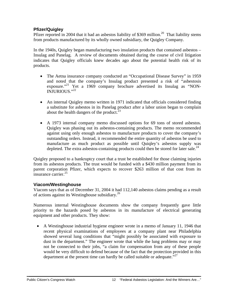### **Pfizer/Quigley**

Pfizer reported in 2004 that it had an asbestos liability of \$369 million.<sup>20</sup> That liability stems from products manufactured by its wholly owned subsidiary, the Quigley Company.

In the 1940s, Quigley began manufacturing two insulation products that contained asbestos – Insulag and Panelag. A review of documents obtained during the course of civil litigation indicates that Quigley officials knew decades ago about the potential health risk of its products.

- The Aetna insurance company conducted an "Occupational Disease Survey" in 1959 and noted that the company's Insulag product presented a risk of "asbestosis exposure."<sup>21</sup> Yet a 1969 company brochure advertised its Insulag as "NON-INJURIOUS."22
- An internal Quigley memo written in 1971 indicated that officials considered finding a substitute for asbestos in its Panelag product after a labor union began to complain about the health dangers of the product.<sup>23</sup>
- A 1973 internal company memo discussed options for 69 tons of stored asbestos. Quigley was phasing out its asbestos-containing products. The memo recommended against using only enough asbestos to manufacture products to cover the company's outstanding orders. Instead, it recommended the entire quantity of asbestos be used to manufacture as much product as possible until Quiqley's asbestos supply was depleted. The extra asbestos-containing products could then be stored for later sale.<sup>24</sup>

Quigley proposed to a bankruptcy court that a trust be established for those claiming injuries from its asbestos products. The trust would be funded with a \$430 million payment from its parent corporation Pfizer, which expects to recover \$263 million of that cost from its insurance carrier.<sup>25</sup>

### **Viacom/Westinghouse**

Viacom says that as of December 31, 2004 it had 112,140 asbestos claims pending as a result of actions against its Westinghouse subsidiary.26

Numerous internal Westinghouse documents show the company frequently gave little priority to the hazards posed by asbestos in its manufacture of electrical generating equipment and other products. They show:

• A Westinghouse industrial hygiene engineer wrote in a memo of January 11, 1946 that recent physical examinations of employees at a company plant near Philadelphia showed several lung conditions that "might possibly be associated with exposure to dust in the department." The engineer wrote that while the lung problems may or may not be connected to their jobs, "a claim for compensation from any of these people would be very difficult to defend because of the fact that the protection provided in this department at the present time can hardly be called suitable or adequate."<sup>27</sup>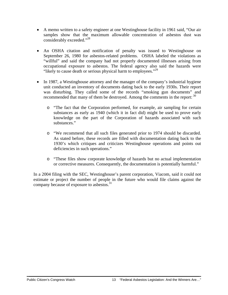- A memo written to a safety engineer at one Westinghouse facility in 1961 said, "Our air samples show that the maximum allowable concentration of asbestos dust was considerably exceeded."<sup>28</sup>
- An OSHA citation and notification of penalty was issued to Westinghouse on September 26, 1980 for asbestos-related problems. OSHA labeled the violations as "willful" and said the company had not properly documented illnesses arising from occupational exposure to asbestos. The federal agency also said the hazards were "likely to cause death or serious physical harm to employees."<sup>29</sup>
- In 1987, a Westinghouse attorney and the manager of the company's industrial hygiene unit conducted an inventory of documents dating back to the early 1930s. Their report was disturbing. They called some of the records "smoking gun documents" and recommended that many of them be destroyed. Among the comments in the report:  $30$ 
	- o "The fact that the Corporation performed, for example, air sampling for certain substances as early as 1940 (which it in fact did) might be used to prove early knowledge on the part of the Corporation of hazards associated with such substances."
	- o "We recommend that all such files generated prior to 1974 should be discarded. As stated before, these records are filled with documentation dating back to the 1930's which critiques and criticizes Westinghouse operations and points out deficiencies in such operations."
	- o "These files show corporate knowledge of hazards but no actual implementation or corrective measures. Consequently, the documentation is potentially harmful."

In a 2004 filing with the SEC, Westinghouse's parent corporation, Viacom, said it could not estimate or project the number of people in the future who would file claims against the company because of exposure to asbestos.<sup>31</sup>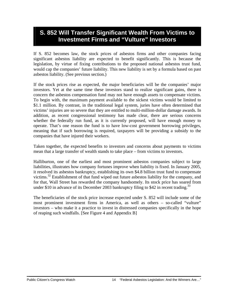### **S. 852 Will Transfer Significant Wealth From Victims to Investment Firms and "Vulture" Investors**

If S. 852 becomes law, the stock prices of asbestos firms and other companies facing significant asbestos liability are expected to benefit significantly. This is because the legislation, by virtue of fixing contributions to the proposed national asbestos trust fund, would cap the companies' future liability. This new liability is set by a formula based on past asbestos liability. (See previous section.)

If the stock prices rise as expected, the major beneficiaries will be the companies' major investors. Yet at the same time these investors stand to realize significant gains, there is concern the asbestos compensation fund may not have enough assets to compensate victims. To begin with, the maximum payment available to the sickest victims would be limited to \$1.1 million. By contrast, in the traditional legal system, juries have often determined that victims' injuries are so severe that they are entitled to multi-million-dollar damage awards. In addition, as recent congressional testimony has made clear, there are serious concerns whether the federally run fund, as it is currently proposed, will have enough money to operate. That's one reason the fund is to have low-cost government borrowing privileges, meaning that if such borrowing is required, taxpayers will be providing a subsidy to the companies that have injured their workers.

Taken together, the expected benefits to investors and concerns about payments to victims mean that a large transfer of wealth stands to take place – from victims to investors.

Halliburton, one of the earliest and most prominent asbestos companies subject to large liabilities, illustrates how company fortunes improve when liability is fixed. In January 2005, it resolved its asbestos bankruptcy, establishing its own \$4.8 billion trust fund to compensate victims.<sup>32</sup> Establishment of that fund wiped out future asbestos liability for the company, and for that, Wall Street has rewarded the company handsomely. Its stock price has soared from under \$10 in advance of its December 2003 bankruptcy filing to \$42 in recent trading.<sup>33</sup>

The beneficiaries of the stock price increase expected under S. 852 will include some of the most prominent investment firms in America, as well as others – so-called "vulture" investors – who make it a practice to invest in distressed companies specifically in the hope of reaping such windfalls. [See Figure 4 and Appendix B]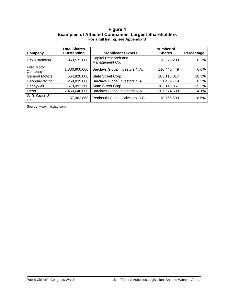#### **Figure 4 Examples of Affected Companies' Largest Shareholders For a full listing, see Appendix B**

|                              | <b>Total Shares</b> |                                        | Number of     |            |
|------------------------------|---------------------|----------------------------------------|---------------|------------|
| Company                      | Outstanding         | <b>Significant Owners</b>              | <b>Shares</b> | Percentage |
| Dow Chemical                 | 953,571,000         | Capital Research and<br>Management Co. | 78,523,200    | 8.2%       |
| <b>Ford Motor</b><br>Company | 1,830,900,000       | Barclays Global Investors N.A.         | 110,440,449   | 6.0%       |
| <b>General Motors</b>        | 564,826,000         | State Street Corp.                     | 103,110,017   | 18.3%      |
| Georgia-Pacific              | 259,839,000         | Barclays Global Investors N.A.         | 21,439,719    | 8.3%       |
| Honeywell                    | 670,092,700         | State Street Corp.                     | 102,146,357   | 15.2%      |
| Pfizer                       | 7,460,646,000       | Barclays Global Investors N.A.         | 307,974,599   | 4.1%       |
| W.R. Grace &<br>Co.          | 57,962,868          | Peninsula Capital Advisors LLC         | 10,765,600    | 18.6%      |

Source: www.nasdaq.com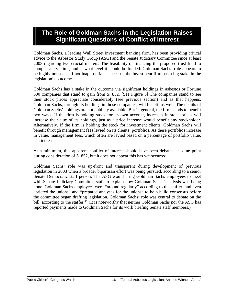### **The Role of Goldman Sachs in the Legislation Raises Significant Questions of Conflict of Interest**

Goldman Sachs, a leading Wall Street investment banking firm, has been providing critical advice to the Asbestos Study Group (ASG) and the Senate Judiciary Committee since at least 2003 regarding two crucial matters: The feasibility of financing the proposed trust fund to compensate victims, and at what level it should be funded. Goldman Sachs' role appears to be highly unusual – if not inappropriate – because the investment firm has a big stake in the legislation's outcome.

Goldman Sachs has a stake in the outcome via significant holdings in asbestos or Fortune 500 companies that stand to gain from S. 852. [See Figure 5] The companies stand to see their stock prices appreciate considerably (see previous section) and as that happens, Goldman Sachs, through its holdings in those companies, will benefit as well. The details of Goldman Sachs' holdings are not publicly available. But in general, the firm stands to benefit two ways. If the firm is holding stock for its own account, increases in stock prices will increase the value of its holdings, just as a price increase would benefit any stockholder. Alternatively, if the firm is holding the stock for investment clients, Goldman Sachs will benefit through management fees levied on its clients' portfolios. As these portfolios increase in value, management fees, which often are levied based on a percentage of portfolio value, can increase.

At a minimum, this apparent conflict of interest should have been debated at some point during consideration of S. 852, but it does not appear this has yet occurred.

Goldman Sachs' role was up-front and transparent during development of previous legislation in 2003 when a broader bipartisan effort was being pursued, according to a senior Senate Democratic staff person. The ASG would bring Goldman Sachs employees to meet with Senate Judiciary Committee staff to explain how Goldman Sachs' analysis was being done. Goldman Sachs employees were "around regularly" according to the staffer, and even "briefed the unions" and "prepared analyses for the unions" to help build consensus before the committee began drafting legislation. Goldman Sachs' role was central to debate on the bill, according to the staffer.<sup>34</sup> (It is noteworthy that neither Goldman Sachs nor the ASG has reported payments made to Goldman Sachs for its work briefing Senate staff members.)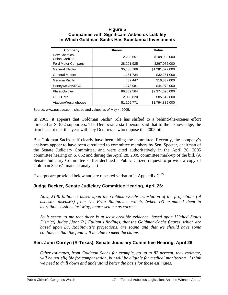#### **Figure 5 Companies with Significant Asbestos Liability In Which Goldman Sachs Has Substantial Investments**

| Company                               | <b>Shares</b> | Value           |
|---------------------------------------|---------------|-----------------|
| Dow Chemical/<br><b>Union Carbide</b> | 2,298,557     | \$108,998,000   |
| Ford Motor Company                    | 28,201,925    | \$267,072,000   |
| <b>General Electric</b>               | 35,486,766    | \$1,281,072,000 |
| <b>General Motors</b>                 | 1,161,734     | \$32,261,000    |
| Georgia Pacific                       | 482,447       | \$16,837,000    |
| Honeywell/NARCO                       | 1,273,981     | \$44,972,000    |
| Pfizer/Quigley                        | 86,352,564    | \$2,374,696,000 |
| USG Corp.                             | 2,088,820     | \$85,642,000    |
| Viacom/Westinghouse                   | 51,105,771    | \$1,794,835,000 |

Source: www.nasdaq.com; shares and values as of May 4, 2005.

In 2005, it appears that Goldman Sachs' role has shifted to a behind-the-scenes effort directed at S. 852 supporters. The Democratic staff person said that to their knowledge, the firm has not met this year with key Democrats who oppose the 2005 bill.

But Goldman Sachs staff clearly have been aiding the committee. Recently, the company's analyses appear to have been circulated to committee members by Sen. Specter, chairman of the Senate Judiciary Committee, and were cited authoritatively in the April 26, 2005 committee hearing on S. 852 and during the April 28, 2005 committee mark-up of the bill. (A Senate Judiciary Committee staffer declined a Public Citizen request to provide a copy of Goldman Sachs' financial analysis.)

Excerpts are provided below and are repeated verbatim in Appendix  $C<sup>35</sup>$ 

### **Judge Becker, Senate Judiciary Committee Hearing, April 26:**

*Now, \$140 billion is based upon the Goldman-Sachs translation of the projections (of asbestos disease?) from Dr. Fran Rabinovitz, which, (when I?) examined them in marathon sessions last May, impressed me as correct.* 

*So it seems to me that there is at least credible evidence, based upon [United States District] Judge [John P.] Fullam's findings, that the Goldman-Sachs figures, which are*  based upon Dr. Rabinovitz's projections, are sound and that we should have some *confidence that the fund will be able to meet the claims.* 

### **Sen. John Cornyn (R-Texas), Senate Judiciary Committee Hearing, April 26:**

*Other estimates, from Goldman Sachs for example, go up to 82 percent, they estimate, will be not eligible for compensation, but will be eligible for medical monitoring. I think we need to drill down and understand better the basis for those estimates.*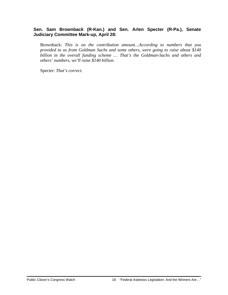### **Sen. Sam Brownback (R-Kan.) and Sen. Arlen Specter (R-Pa.), Senate Judiciary Committee Mark-up, April 28:**

Brownback: *This is on the contribution amount…According to numbers that you provided to us from Goldman Sachs and some others, were going to raise about \$140 billion in the overall funding scheme … That's the Goldman-Sachs and others and others' numbers, we'll raise \$140 billion.* 

Specter: *That's correct.*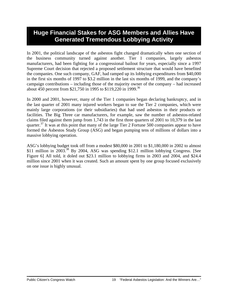### **Huge Financial Stakes for ASG Members and Allies Have Generated Tremendous Lobbying Activity**

In 2001, the political landscape of the asbestos fight changed dramatically when one section of the business community turned against another. Tier 1 companies, largely asbestos manufacturers, had been fighting for a congressional bailout for years, especially since a 1997 Supreme Court decision that rejected a proposed settlement structure that would have benefited the companies. One such company, GAF, had ramped up its lobbying expenditures from \$40,000 in the first six months of 1997 to \$3.2 million in the last six months of 1999, and the company's campaign contributions – including those of the majority owner of the company – had increased about 450 percent from \$21,750 in 1995 to \$119,220 in 1999.<sup>36</sup>

In 2000 and 2001, however, many of the Tier 1 companies began declaring bankruptcy, and in the last quarter of 2001 many injured workers began to sue the Tier 2 companies, which were mainly large corporations (or their subsidiaries) that had used asbestos in their products or facilities. The Big Three car manufacturers, for example, saw the number of asbestos-related claims filed against them jump from 1,743 in the first three quarters of 2001 to 10,379 in the last quarter.<sup>37</sup> It was at this point that many of the large Tier 2 Fortune 500 companies appear to have formed the Asbestos Study Group (ASG) and began pumping tens of millions of dollars into a massive lobbying operation.

ASG's lobbying budget took off from a modest \$80,000 in 2001 to \$1,180,000 in 2002 to almost \$11 million in 2003.<sup>38</sup> By 2004, ASG was spending \$12.1 million lobbying Congress. [See Figure 6] All told, it doled out \$23.1 million to lobbying firms in 2003 and 2004, and \$24.4 million since 2001 when it was created. Such an amount spent by one group focused exclusively on one issue is highly unusual.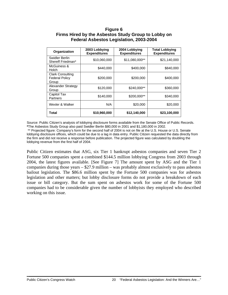### **Figure 6 Firms Hired by the Asbestos Study Group to Lobby on Federal Asbestos Legislation, 2003-2004**

| Organization                                              | 2003 Lobbying<br><b>Expenditures</b> | 2004 Lobbying<br><b>Expenditures</b> | <b>Total Lobbying</b><br><b>Expenditures</b> |
|-----------------------------------------------------------|--------------------------------------|--------------------------------------|----------------------------------------------|
| Swidler Berlin<br>Shereff Friedman*                       | \$10,060,000                         | \$11,080,000**                       | \$21,140,000                                 |
| McGuiness &<br>Holch                                      | \$440,000                            | \$400,000                            | \$840,000                                    |
| <b>Clark Consulting</b><br><b>Federal Policy</b><br>Group | \$200,000                            | \$200,000                            | \$400,000                                    |
| Alexander Strategy<br>Group                               | \$120,000                            | \$240,000**                          | \$360,000                                    |
| Capitol Tax<br>Partners                                   | \$140,000                            | \$200.000**                          | \$340,000                                    |
| Wexler & Walker                                           | N/A                                  | \$20,000                             | \$20,000                                     |
| Total                                                     | \$10,960,000                         | \$12,140,000                         | \$23,100,000                                 |

Source: Public Citizen's analysis of lobbying disclosure forms available from the Senate Office of Public Records. **\***The Asbestos Study Group also paid Swidler Berlin \$80,000 in 2001 and \$1,180,000 in 2002.

 \*\* Projected figure: Company's form for the second half of 2004 is not on file at the U.S. House or U.S. Senate lobbying disclosure offices, which could be due to a lag in data entry. Public Citizen requested the data directly from the firm and did not receive a response before publication. The projected figure was calculated by doubling the lobbying revenue from the first half of 2004.

Public Citizen estimates that ASG, six Tier 1 bankrupt asbestos companies and seven Tier 2 Fortune 500 companies spent a combined \$144.5 million lobbying Congress from 2003 through 2004, the latest figures available. [See Figure 7] The amount spent by ASG and the Tier 1 companies during those years – \$27.9 million – was probably almost exclusively to pass asbestos bailout legislation. The \$86.6 million spent by the Fortune 500 companies was for asbestos legislation and other matters; but lobby disclosure forms do not provide a breakdown of each issue or bill category. But the sum spent on asbestos work for some of the Fortune 500 companies had to be considerable given the number of lobbyists they employed who described working on this issue.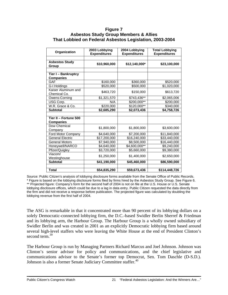#### **Figure 7 Asbestos Study Group Members & Allies That Lobbied on Federal Asbestos Legislation, 2003-2004**

| Organization                              | 2003 Lobbying<br><b>Expenditures</b> | 2004 Lobbying<br><b>Expenditures</b> | <b>Total Lobbying</b><br><b>Expenditures</b> |
|-------------------------------------------|--------------------------------------|--------------------------------------|----------------------------------------------|
| <b>Asbestos Study</b><br>Group            | \$10,960,000                         | \$12,140,000*                        | \$23,100,000                                 |
| Tier I - Bankruptcy<br><b>Companies</b>   |                                      |                                      |                                              |
| GAF                                       | \$160,000                            | \$360,000                            | \$520,000                                    |
| G-I Holdings                              | \$520,000                            | \$500,000                            | \$1,020,000                                  |
| Kaiser Aluminum and<br>Chemical Co.       | \$463,720                            | \$150,000                            | \$613,720                                    |
| Owens-Corning                             | \$1,321,570                          | \$743,436**                          | \$2,065,006                                  |
| USG Corp.                                 | N/A                                  | \$200,000**                          | \$200,000                                    |
| W.R. Grace & Co.                          | \$220,000                            | $\overline{$}120,000**$              | \$340,000                                    |
| <b>Subtotal</b>                           | \$2,685,290                          | \$2,073,436                          | \$4,758,726                                  |
| Tier II - Fortune 500<br><b>Companies</b> |                                      |                                      |                                              |
| Dow Chemical<br>Company                   | \$1,800,000                          | \$1,800,000                          | \$3,600,000                                  |
| Ford Motor Company                        | \$4,640,000                          | \$7,200,000                          | \$11,840,000                                 |
| <b>General Electric</b>                   | \$17,200,000                         | \$16,240,000                         | \$33,440,000                                 |
| <b>General Motors</b>                     | \$7,940,000                          | \$8,500,000                          | \$16,440,000                                 |
| Honeywell/NARCO                           | \$4,640,000                          | \$4,600,000**                        | \$9,240,000                                  |
| Pfizer/Quigley                            | \$3,720,000                          | \$5,660,000                          | \$9,380,000                                  |
| Viacom/<br>Westinghouse                   | \$1,250,000                          | \$1,400,000                          | \$2,650,000                                  |
| <b>Subtotal</b>                           | \$41,190,000                         | \$45,460,000                         | \$86,590,000                                 |
| Total                                     | \$54,835,290                         | \$59,673,436                         | \$114,448,726                                |

Source: Public Citizen's analysis of lobbying disclosure forms available from the Senate Office of Public Records. \* Figure is based on the lobbying disclosure forms filed by firms hired by the Asbestos Study Group. See Figure 6. \*\* Projected figure: Company's form for the second half of 2004 is not on file at the U.S. House or U.S. Senate lobbying disclosure offices, which could be due to a lag in data entry. Public Citizen requested the data directly from the firm and did not receive a response before publication. The projected figure was calculated by doubling the lobbying revenue from the first half of 2004.

The ASG is remarkable in that it concentrated more than 90 percent of its lobbying dollars on a solely Democratic-connected lobbying firm, the D.C.-based Swidler Berlin Sherref & Friedman and its lobbying arm, the Harbour Group. The Harbour Group is a wholly owned subsidiary of Swidler Berlin and was created in 2001 as an explicitly Democratic lobbying firm based around several high-level staffers who were leaving the White House at the end of President Clinton's second term.<sup>39</sup>

The Harbour Group is run by Managing Partners Richard Marcus and Joel Johnson. Johnson was Clinton's senior advisor for policy and communications, and the chief legislative and communications advisor to the Senate's former top Democrat, Sen. Tom Daschle (D-S.D.). Johnson is also a former Senate Judiciary Committee staffer.<sup>40</sup>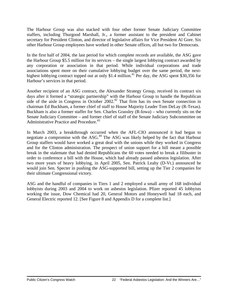The Harbour Group was also stacked with four other former Senate Judiciary Committee staffers, including Thurgood Marshall, Jr., a former assistant to the president and Cabinet secretary for President Clinton, and director of legislative affairs for Vice President Al Gore. Six other Harbour Group employees have worked in other Senate offices, all but two for Democrats.

In the first half of 2004, the last period for which complete records are available, the ASG gave the Harbour Group \$5.5 million for its services – the single largest lobbying contract awarded by any corporation or association in that period. While individual corporations and trade associations spent more on their cumulative lobbying budget over the same period, the nexthighest lobbying contract topped out at only \$1.4 million.<sup>41</sup> Per day, the ASG spent \$30,356 for Harbour's services in that period.

Another recipient of an ASG contract, the Alexander Strategy Group, received its contract six days after it formed a "strategic partnership" with the Harbour Group to handle the Republican side of the aisle in Congress in October 2002.<sup>42</sup> That firm has its own Senate connection in chairman Ed Buckham, a former chief of staff to House Majority Leader Tom DeLay (R-Texas). Buckham is also a former staffer for Sen. Charles Grassley (R-Iowa) – who currently sits on the Senate Judiciary Committee – and former chief of staff of the Senate Judiciary Subcommittee on Administrative Practice and Procedure.<sup>43</sup>

In March 2003, a breakthrough occurred when the AFL-CIO announced it had begun to negotiate a compromise with the ASG.44 The ASG was likely helped by the fact that Harbour Group staffers would have worked a great deal with the unions while they worked in Congress and for the Clinton administration. The prospect of union support for a bill meant a possible break in the stalemate that had denied Republicans the 60 votes needed to break a filibuster in order to conference a bill with the House, which had already passed asbestos legislation. After two more years of heavy lobbying, in April 2005, Sen. Patrick Leahy (D-Vt.) announced he would join Sen. Specter in pushing the ASG-supported bill, setting up the Tier 2 companies for their ultimate Congressional victory.

ASG and the handful of companies in Tiers 1 and 2 employed a small army of 168 individual lobbyists during 2003 and 2004 to work on asbestos legislation. Pfizer reported 45 lobbyists working the issue, Dow Chemical had 20, General Motors and Honeywell had 18 each, and General Electric reported 12. [See Figure 8 and Appendix D for a complete list.]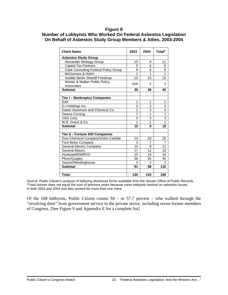#### **Figure 8**

### **Number of Lobbyists Who Worked On Federal Asbestos Legislation On Behalf of Asbestos Study Group Members & Allies, 2003-2004**

| <b>Client Name</b>                           | 2003           | 2004           | Total* |
|----------------------------------------------|----------------|----------------|--------|
| <b>Asbestos Study Group</b>                  |                |                |        |
| Alexander Strategy Group                     | 10             | 8              | 11     |
| <b>Capitol Tax Partners</b>                  | 5              | 6              | 6      |
| <b>Clark Consulting Federal Policy Group</b> | 9              | 8              | 9      |
| McGuiness & Holch                            | 1              | 1              | 1      |
| Swidler Berlin Shereff Friedman              | 10             | 10             | 10     |
| Wexler & Walker Public Policy<br>Associates  | N/A            | 3              | 3      |
| <b>Subtotal</b>                              | 35             | 36             | 40     |
|                                              |                |                |        |
| <b>Tier I - Bankruptcy Companies</b>         |                |                |        |
| <b>GAF</b>                                   | 1              | 1              | 1      |
| G-I Holdings Inc.                            | 3              | $\overline{2}$ | 3      |
| Kaiser Aluminum and Chemical Co.             | 1              | 3              | 4      |
| Owens-Corning                                | $\overline{7}$ | 1              | 7      |
| USG Corp.                                    | 3              | 3              | 3      |
| W.R. Grace & Co.                             | 1              | 1              | 1      |
| <b>Subtotal</b>                              | 15             | 9              | 19     |
| Tier II - Fortune 500 Companies              |                |                |        |
| Dow Chemical Company/Union Carbide           | 14             | 20             | 20     |
| Ford Motor Company                           | 3              | 7              | 7      |
| <b>General Electric Company</b>              | 10             | 9              | 12     |
| <b>General Motors</b>                        | 17             | 12             | 18     |
| Honeywell/NARCO                              | 15             | 14             | 18     |
| Pfizer/Quigley                               | 36             | 35             | 45     |
| Viacom/Westinghouse                          | 3              | $\mathfrak{p}$ | 3      |
| <b>Subtotal</b>                              | 91             | 98             | 116    |
|                                              |                |                |        |
| <b>Total</b>                                 | 135            | 143            | 168    |

Source: Public Citizen's analysis of lobbying disclosure forms available from the Senate Office of Public Records. \*Total column does not equal the sum of previous years because some lobbyists worked on asbestos issues in both 2003 and 2004 and also worked for more than one client.

Of the 168 lobbyists, Public Citizen counts 94 – or 57.7 percent – who walked through the "revolving door" from government service to the private sector, including seven former members of Congress. [See Figure 9 and Appendix E for a complete list]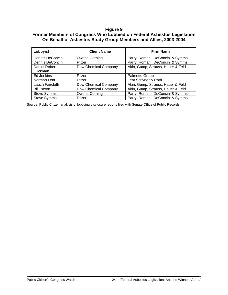### **Figure 9**

### **Former Members of Congress Who Lobbied on Federal Asbestos Legislation On Behalf of Asbestos Study Group Members and Allies, 2003-2004**

| Lobbyist           | <b>Client Name</b>   | <b>Firm Name</b>                  |
|--------------------|----------------------|-----------------------------------|
| Dennis DeConcini   | Owens-Corning        | Parry, Romani, DeConcini & Symms  |
| Dennis DeConcini   | Pfizer               | Parry, Romani, DeConcini & Symms  |
| Daniel Robert      | Dow Chemical Company | Akin, Gump, Strauss, Hauer & Feld |
| Glickman           |                      |                                   |
| Ed Jenkins         | Pfizer               | Palmetto Group                    |
| Norman Lent        | Pfizer               | Lent Scrivner & Roth              |
| Lauch Faircloth    | Dow Chemical Company | Akin, Gump, Strauss, Hauer & Feld |
| <b>Bill Paxon</b>  | Dow Chemical Company | Akin, Gump, Strauss, Hauer & Feld |
| <b>Steve Symms</b> | Owens-Corning        | Parry, Romani, DeConcini & Symms  |
| <b>Steve Symms</b> | Pfizer               | Parry, Romani, DeConcini & Symms  |

Source: Public Citizen analysis of lobbying disclosure reports filed with Senate Office of Public Records.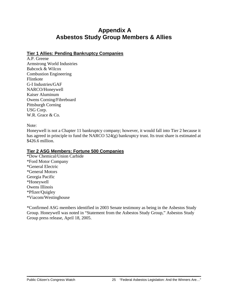### **Appendix A Asbestos Study Group Members & Allies**

### **Tier 1 Allies: Pending Bankruptcy Companies**

A.P. Greene Armstrong World Industries Babcock & Wilcox Combustion Engineering Flintkote G-I Industries/GAF NARCO/Honeywell Kaiser Aluminum Owens Corning/Fibreboard Pittsburgh Corning USG Corp. W.R. Grace & Co.

Note:

Honeywell is not a Chapter 11 bankruptcy company; however, it would fall into Tier 2 because it has agreed in principle to fund the NARCO 524(g) bankruptcy trust. Its trust share is estimated at \$426.6 million.

### **Tier 2 ASG Members: Fortune 500 Companies**

\*Dow Chemical/Union Carbide \*Ford Motor Company \*General Electric \*General Motors Georgia Pacific \*Honeywell Owens Illinois \*Pfizer/Quigley \*Viacom/Westinghouse

\*Confirmed ASG members identified in 2003 Senate testimony as being in the Asbestos Study Group. Honeywell was noted in "Statement from the Asbestos Study Group," Asbestos Study Group press release, April 18, 2005.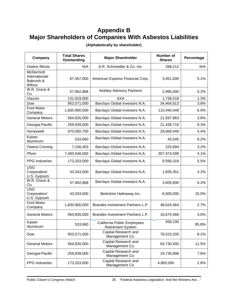## **Appendix B Major Shareholders of Companies With Asbestos Liabilities**

| Company                                            | <b>Total Shares</b><br>Outstanding | <b>Major Shareholder</b>                                | <b>Number of</b><br><b>Shares</b> | Percentage |
|----------------------------------------------------|------------------------------------|---------------------------------------------------------|-----------------------------------|------------|
| Owens Illinois                                     | N/A                                | A.R. Schmeidler & Co. Inc.                              | 268,212                           | N/A        |
| McDermott<br>International/<br>Babcock &<br>Wilcox | 67,457,000                         | American Express Financial Corp.                        | 3,451,000                         | 5.1%       |
| W.R. Grace &<br>Co.                                | 57,962,868                         | <b>Ardsley Advisory Partners</b>                        | 2,995,000                         | 5.2%       |
| Viacom                                             | 131,503,000                        | <b>AXA</b>                                              | 1,738,518                         | 1.3%       |
| Dow                                                | 953,571,000                        | Barclays Global Investors N.A.                          | 34,464,813                        | 3.6%       |
| Ford Motor<br>Company                              | 1,830,900,000                      | Barclays Global Investors N.A.                          | 110,440,449                       | 6.0%       |
| <b>General Motors</b>                              | 564,826,000                        | Barclays Global Investors N.A.                          | 21,597,863                        | 3.8%       |
| Georgia-Pacific                                    | 259,839,000                        | Barclays Global Investors N.A.                          | 21,439,719                        | 8.3%       |
| Honeywell                                          | 670,092,700                        | Barclays Global Investors N.A.                          | 29,669,449                        | 4.4%       |
| Kaiser-<br>Aluminum                                | 533,660                            | Barclays Global Investors N.A.                          | 43,545                            | 8.2%       |
| <b>Owens Corning</b>                               | 7,156,403                          | Barclays Global Investors N.A.                          | 225,694                           | 3.2%       |
| Pfizer                                             | 7,460,646,000                      | Barclays Global Investors N.A.                          | 307,974,599                       | 4.1%       |
| <b>PPG</b> Industries                              | 173,203,000                        | Barclays Global Investors N.A.                          | 9,590,319                         | 5.5%       |
| <b>USG</b><br>Corporation/<br>U.S. Gypsum          | 43,343,000                         | Barclays Global Investors N.A.                          | 1,835,451                         | 4.2%       |
| W.R. Grace &<br>Co.                                | 57,962,868                         | Barclays Global Investors N.A.                          | 3,605,800                         | 6.2%       |
| <b>USG</b><br>Corporation/<br>U.S. Gypsum          | 43,343,000                         | Berkshire Hathaway Inc.                                 | 6,500,000                         | 15.0%      |
| Ford Motor<br>Company                              | 1,830,900,000                      | Brandes Investment Partners L.P.                        | 48,624,464                        | 2.7%       |
| <b>General Motors</b>                              | 564,826,000                        | Brandes Investment Partners L.P.                        | 16,675,566                        | 3.0%       |
| Kaiser-<br>Aluminum                                | 533,660                            | California Public Employees<br><b>Retirement System</b> | 458,100                           | 85.8%      |
| Dow                                                | 953,571,000                        | Capital Research and<br>Management Co.                  | 78,523,200                        | 8.2%       |
| <b>General Motors</b>                              | 564,826,000                        | Capital Research and<br>Management Co.                  | 64,730,400                        | 11.5%      |
| Georgia-Pacific                                    | 259,839,000                        | Capital Research and<br>Management Co.                  | 19,735,898                        | 7.6%       |
| <b>PPG</b> Industries                              | 173,203,000                        | Capital Research and<br>Management Co.                  | 4,850,000                         | 2.8%       |

**(Alphabetically by shareholder)**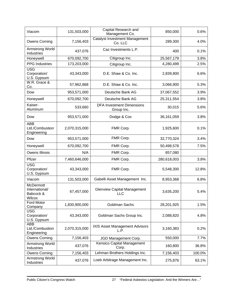| Viacom                                                    | 131,503,000   | Capital Research and<br>Management Co.           | 850,000      | 0.6%   |
|-----------------------------------------------------------|---------------|--------------------------------------------------|--------------|--------|
| Owens Corning                                             | 7,156,403     | <b>Catalyst Investment Management</b><br>Co. LLC | 289,300      | 4.0%   |
| Armstrong World<br>Industries                             | 437,076       | Caz Investments L.P.                             | 400          | 0.1%   |
| Honeywell                                                 | 670,092,700   | Citigroup Inc.                                   | 25,567,179   | 3.8%   |
| <b>PPG</b> Industries                                     | 173,203,000   | Citigroup Inc.                                   | 4,280,499    | 2.5%   |
| <b>USG</b><br>Corporation/<br>U.S. Gypsum                 | 43,343,000    | D.E. Shaw & Co. Inc.                             | 2,839,800    | 6.6%   |
| W.R. Grace &<br>Co.                                       | 57,962,868    | D.E. Shaw & Co. Inc.                             | 3,066,900    | 5.3%   |
| Dow                                                       | 953,571,000   | Deutsche Bank AG                                 | 37,067,552   | 3.9%   |
| Honeywell                                                 | 670,092,700   | Deutsche Bank AG                                 | 25,311,554   | 3.8%   |
| Kaiser-<br>Aluminum                                       | 533,660       | <b>DFA Investment Dimensions</b><br>Group Inc.   | 30,015       | 5.6%   |
| Dow                                                       | 953,571,000   | Dodge & Cox                                      | 36, 161, 059 | 3.8%   |
| <b>ABB</b><br>Ltd./Combustion<br>Engineering              | 2,070,315,000 | FMR Corp.                                        | 1,925,600    | 0.1%   |
| Dow                                                       | 953,571,000   | FMR Corp.                                        | 32,770,324   | 3.4%   |
| Honeywell                                                 | 670,092,700   | FMR Corp.                                        | 50,498,578   | 7.5%   |
| Owens Illinois                                            | N/A           | FMR Corp.                                        | 857,080      |        |
| Pfizer                                                    | 7,460,646,000 | FMR Corp.                                        | 280,618,003  | 3.8%   |
| <b>USG</b><br>Corporation/<br>U.S. Gypsum                 | 43,343,000    | FMR Corp.                                        | 5,548,300    | 12.8%  |
| Viacom                                                    | 131,503,000   | Gabelli Asset Management Inc.                    | 8,953,368    | 6.8%   |
| <b>McDermott</b><br>International/<br>Babcock &<br>Wilcox | 67,457,000    | <b>Glenview Capital Management</b><br><b>LLC</b> | 3,635,200    | 5.4%   |
| Ford Motor<br>Company                                     | 1,830,900,000 | Goldman Sachs                                    | 28,201,925   | 1.5%   |
| <b>USG</b><br>Corporation/<br>U.S. Gypsum                 | 43,343,000    | Goldman Sachs Group Inc.                         | 2,088,820    | 4.8%   |
| <b>ABB</b><br>Ltd./Combustion<br>Engineering              | 2,070,315,000 | IXIS Asset Management Advisors<br>L.P.           | 3,160,383    | 0.2%   |
| <b>Owens Corning</b>                                      | 7,156,403     | JGD Management Corp.                             | 550,000      | 7.7%   |
| Armstrong World<br>Industries                             | 437,076       | Kensico Capital Management<br>Corp.              | 160,800      | 36.8%  |
| <b>Owens Corning</b>                                      | 7,156,403     | Lehman Brothers Holdings Inc.                    | 7,156,403    | 100.0% |
| Armstrong World<br>Industries                             | 437,076       | Loeb Arbitrage Management Inc.                   | 275,876      | 63.1%  |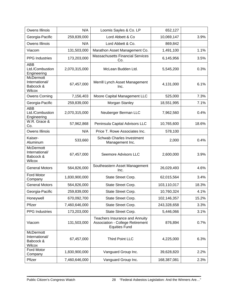| Owens Illinois                                            | N/A           | Loomis Sayles & Co. LP                                                                            | 652,127     |       |
|-----------------------------------------------------------|---------------|---------------------------------------------------------------------------------------------------|-------------|-------|
| Georgia-Pacific                                           | 259,839,000   | Lord Abbett & Co                                                                                  | 10,069,147  | 3.9%  |
| Owens Illinois                                            | N/A           | Lord Abbett & Co.                                                                                 | 869,842     |       |
| Viacom                                                    | 131,503,000   | Marathon Asset Management Co.                                                                     | 1,491,100   | 1.1%  |
| <b>PPG</b> Industries                                     | 173,203,000   | <b>Massachusetts Financial Services</b><br>Co.                                                    | 6,145,956   | 3.5%  |
| <b>ABB</b><br>Ltd./Combustion<br>Engineering              | 2,070,315,000 | McLean Budden Ltd.                                                                                | 5,545,200   | 0.3%  |
| <b>McDermott</b><br>International/<br>Babcock &<br>Wilcox | 67,457,000    | Merrill Lynch Asset Management<br>Inc.                                                            | 4,131,000   | 6.1%  |
| <b>Owens Corning</b>                                      | 7,156,403     | Moore Capital Management LLC                                                                      | 525,000     | 7.3%  |
| Georgia-Pacific                                           | 259,839,000   | Morgan Stanley                                                                                    | 18,551,995  | 7.1%  |
| <b>ABB</b><br>Ltd./Combustion<br>Engineering              | 2,070,315,000 | Neuberger Berman LLC                                                                              | 7,962,560   | 0.4%  |
| W.R. Grace &<br>Co.                                       | 57,962,868    | Peninsula Capital Advisors LLC                                                                    | 10,765,600  | 18.6% |
| <b>Owens Illinois</b>                                     | N/A           | Price T. Rowe Associates Inc.                                                                     | 578,100     |       |
| Kaiser-<br>Aluminum                                       | 533,660       | <b>Schwab Charles Investment</b><br>Management Inc.                                               | 2,000       | 0.4%  |
| McDermott<br>International/<br>Babcock &<br>Wilcox        | 67,457,000    | Seemore Advisors LLC                                                                              | 2,600,000   | 3.9%  |
| <b>General Motors</b>                                     | 564,826,000   | Southeastern Asset Management<br>Inc.                                                             | 26,029,493  | 4.6%  |
| <b>Ford Motor</b><br>Company                              | 1,830,900,000 | State Street Corp.                                                                                | 62,015,564  | 3.4%  |
| <b>General Motors</b>                                     | 564,826,000   | State Street Corp.                                                                                | 103,110,017 | 18.3% |
| Georgia-Pacific                                           | 259,839,000   | State Street Corp.                                                                                | 10,760,324  | 4.1%  |
| Honeywell                                                 | 670,092,700   | State Street Corp.                                                                                | 102,146,357 | 15.2% |
| Pfizer                                                    | 7,460,646,000 | State Street Corp.                                                                                | 243,328,658 | 3.3%  |
| <b>PPG</b> Industries                                     | 173,203,000   | State Street Corp.                                                                                | 5,446,066   | 3.1%  |
| Viacom                                                    | 131,503,000   | Teachers Insurance and Annuity<br><b>Association - College Retirement</b><br><b>Equities Fund</b> | 876,894     | 0.7%  |
| <b>McDermott</b><br>International/<br>Babcock &<br>Wilcox | 67,457,000    | <b>Third Point LLC</b>                                                                            | 4,225,000   | 6.3%  |
| Ford Motor<br>Company                                     | 1,830,900,000 | Vanguard Group Inc.                                                                               | 39,628,820  | 2.2%  |
| Pfizer                                                    | 7,460,646,000 | Vanguard Group Inc.                                                                               | 168,387,081 | 2.3%  |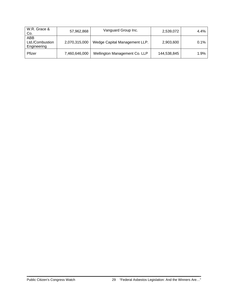| W.R. Grace &<br>Co.                          | 57,962,868    | Vanguard Group Inc.           | 2,539,072   | 4.4% |
|----------------------------------------------|---------------|-------------------------------|-------------|------|
| <b>ABB</b><br>Ltd./Combustion<br>Engineering | 2,070,315,000 | Wedge Capital Management LLP. | 2,903,600   | 0.1% |
| Pfizer                                       | 7,460,646,000 | Wellington Management Co. LLP | 144,538,845 | 1.9% |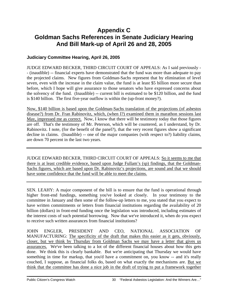### **Appendix C Goldman Sachs References in Senate Judiciary Hearing And Bill Mark-up of April 26 and 28, 2005**

### **Judiciary Committee Hearing, April 26, 2005**

JUDGE EDWARD BECKER, THIRD CIRCUIT COURT OF APPEALS: As I said previously - - (inaudible) -- financial experts have demonstrated that the fund was more than adequate to pay the projected claims. New figures from Goldman-Sachs represent that by elimination of level seven, even with the increase in the claim value, the fund is at least \$5 billion more secure than before, which I hope will give assurance to those senators who have expressed concerns about the solvency of the fund. (Inaudible) -- current bill is estimated to be \$120 billion, and the fund is \$140 billion. The first five-year outflow is within the (up-front money?).

Now, \$140 billion is based upon the Goldman-Sachs translation of the projections (of asbestos disease?) from Dr. Fran Rabinovitz, which, (when I?) examined them in marathon sessions last May, impressed me as correct. Now, I know that there will be testimony today that those figures are off. That's the testimony of Mr. Peterson, which will be countered, as I understand, by Dr. Rabinovitz. I note, (for the benefit of the panel?), that the very recent figures show a significant decline in claims. (Inaudible) -- one of the major companies (with respect to?) liability claims, are down 70 percent in the last two years.

JUDGE EDWARD BECKER, THIRD CIRCUIT COURT OF APPEALS: So it seems to me that there is at least credible evidence, based upon Judge Fullam's (sp) findings, that the Goldman-Sachs figures, which are based upon Dr. Rabinovitz's projections, are sound and that we should have some confidence that the fund will be able to meet the claims.

SEN. LEAHY: A major component of the bill is to ensure that the fund is operational through higher front-end fundings, something you've looked at closely. In your testimony to the committee in January and then some of the follow-up letters to me, you stated that you expect to have written commitments or letters from financial institutions regarding the availability of 20 billion (dollars) in front-end funding once the legislation was introduced, including estimates of the interest costs of such potential borrowing. Now that we've introduced it, when do you expect to receive such written assurances from financial institutions?

JOHN ENGLER, PRESIDENT AND CEO, NATIONAL ASSOCIATION OF MANUFACTURING: The specificity of the draft that makes this easier as it gets, obviously, closer, but we think by Thursday from Goldman Sachs we may have a letter that gives us assurances. We've been talking to a lot of the different financial houses about how this gets done. We think this is clearly bankable. But we're anticipating that Thursday we would have something in time for markup, that you'd have a commitment on, you know -- and it's really couched, I suppose, as financial folks do, based on what exactly the mechanisms are. But we think that the committee has done a nice job in the draft of trying to put a framework together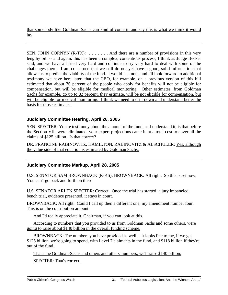that somebody like Goldman Sachs can kind of come in and say this is what we think it would be.

SEN. JOHN CORNYN (R-TX): ............... And there are a number of provisions in this very lengthy bill -- and again, this has been a complex, contentious process, I think as Judge Becker said, and we have all tried very hard and continue to try very hard to deal with some of the challenges there. I am concerned that we still do not yet have a good, solid information that allows us to predict the viability of the fund. I would just note, and I'll look forward to additional testimony we have here later, that the CBO, for example, on a previous version of this bill estimated that about 76 percent of the people who apply for benefits will not be eligible for compensation, but will be eligible for medical monitoring. Other estimates, from Goldman Sachs for example, go up to 82 percent, they estimate, will be not eligible for compensation, but will be eligible for medical monitoring. I think we need to drill down and understand better the basis for those estimates.

### **Judiciary Committee Hearing, April 26, 2005**

SEN. SPECTER: You're testimony about the amount of the fund, as I understand it, is that before the Section VIIs were eliminated, your expert projections came in at a total cost to cover all the claims of \$125 billion. Is that correct?

DR. FRANCINE RABINOVITZ, HAMILTON, RABINOVITZ & ALSCHULER: Yes, although the value side of that equation is estimated by Goldman Sachs.

### **Judiciary Committee Markup, April 28, 2005**

U.S. SENATOR SAM BROWNBACK (R-KS): BROWNBACK: All right. So this is set now. You can't go back and forth on this?

U.S. SENATOR ARLEN SPECTER: Correct. Once the trial has started, a jury impaneled, bench trial, evidence presented, it stays in court.

BROWNBACK: All right. Could I call up then a different one, my amendment number four. This is on the contribution amount.

And I'd really appreciate it, Chairman, if you can look at this.

According to numbers that you provided to us from Goldman Sachs and some others, were going to raise about \$140 billion in the overall funding scheme.

BROWNBACK: The numbers you have provided as well -- it looks like to me, if we get \$125 billion, we're going to spend, with Level 7 claimants in the fund, and \$118 billion if they're out of the fund.

That's the Goldman-Sachs and others and others' numbers, we'll raise \$140 billion.

SPECTER: That's correct.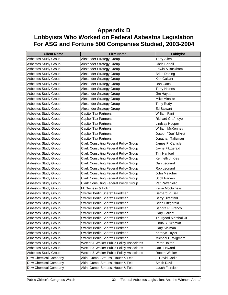### **Appendix D Lobbyists Who Worked on Federal Asbestos Legislation For ASG and Fortune 500 Companies Studied, 2003-2004**

| <b>Client Name</b>          | <b>Firm Name</b>                             | Lobbyist                 |
|-----------------------------|----------------------------------------------|--------------------------|
| <b>Asbestos Study Group</b> | Alexander Strategy Group                     | <b>Terry Allen</b>       |
| Asbestos Study Group        | Alexander Strategy Group                     | Chris Bertelli           |
| Asbestos Study Group        | Alexander Strategy Group                     | Edwin A Buckham          |
| Asbestos Study Group        | Alexander Strategy Group                     | <b>Brian Darling</b>     |
| Asbestos Study Group        | Alexander Strategy Group                     | Karl Gallant             |
| <b>Asbestos Study Group</b> | Alexander Strategy Group                     | Dan Gans                 |
| Asbestos Study Group        | Alexander Strategy Group                     | <b>Terry Haines</b>      |
| Asbestos Study Group        | Alexander Strategy Group                     | Jim Hayes                |
| Asbestos Study Group        | Alexander Strategy Group                     | Mike Minalke             |
| <b>Asbestos Study Group</b> | Alexander Strategy Group                     | Tony Rudy                |
| Asbestos Study Group        | Alexander Strategy Group                     | <b>Ed Stewart</b>        |
| Asbestos Study Group        | Capitol Tax Partners                         | <b>William Fant</b>      |
| <b>Asbestos Study Group</b> | <b>Capitol Tax Partners</b>                  | <b>Richard Grafmeyer</b> |
| Asbestos Study Group        | Capitol Tax Partners                         | Lindsay Hooper           |
| Asbestos Study Group        | <b>Capitol Tax Partners</b>                  | William McKenney         |
| <b>Asbestos Study Group</b> | <b>Capitol Tax Partners</b>                  | Joseph "Joe" Mikrut      |
| <b>Asbestos Study Group</b> | <b>Capitol Tax Partners</b>                  | Jonathan Talisman        |
| <b>Asbestos Study Group</b> | <b>Clark Consulting Federal Policy Group</b> | James F. Carlisle        |
| Asbestos Study Group        | <b>Clark Consulting Federal Policy Group</b> | Jayne Fitzgerald         |
| <b>Asbestos Study Group</b> | <b>Clark Consulting Federal Policy Group</b> | <b>Tim Hanford</b>       |
| <b>Asbestos Study Group</b> | <b>Clark Consulting Federal Policy Group</b> | Kenneth J. Kies          |
| Asbestos Study Group        | <b>Clark Consulting Federal Policy Group</b> | Dan Leonard              |
| Asbestos Study Group        | <b>Clark Consulting Federal Policy Group</b> | Rob Leonard              |
| Asbestos Study Group        | <b>Clark Consulting Federal Policy Group</b> | John Meagher             |
| Asbestos Study Group        | <b>Clark Consulting Federal Policy Group</b> | <b>Scott Parven</b>      |
| Asbestos Study Group        | <b>Clark Consulting Federal Policy Group</b> | Pat Raffaniello          |
| Asbestos Study Group        | McGuiness & Holch                            | Kevin McGuiness          |
| Asbestos Study Group        | Swidler Berlin Shereff Friedman              | Bernard P. Bell          |
| Asbestos Study Group        | Swidler Berlin Shereff Friedman              | <b>Barry Direnfeld</b>   |
| <b>Asbestos Study Group</b> | Swidler Berlin Shereff Friedman              | Brian Fitzgerald         |
| Asbestos Study Group        | Swidler Berlin Shereff Friedman              | Sandra P. Franco         |
| Asbestos Study Group        | Swidler Berlin Shereff Friedman              | <b>Gary Gallant</b>      |
| Asbestos Study Group        | Swidler Berlin Shereff Friedman              | Thurgood Marshall Jr.    |
| Asbestos Study Group        | Swidler Berlin Shereff Friedman              | Linda S. Schmidt         |
| Asbestos Study Group        | Swidler Berlin Shereff Friedman              | Gary Slaiman             |
| Asbestos Study Group        | Swidler Berlin Shereff Friedman              | Kathryn Taylor           |
| Asbestos Study Group        | Swidler Berlin Shereff Friedman              | Michael B. Wigmore       |
| Asbestos Study Group        | Wexler & Walker Public Policy Associates     | Peter Holran             |
| Asbestos Study Group        | Wexler & Walker Public Policy Associates     | Jack Howard              |
| Asbestos Study Group        | Wexler & Walker Public Policy Associates     | <b>Robert Walker</b>     |
| Dow Chemical Company        | Akin, Gump, Strauss, Hauer & Feld            | J. David Carlin          |
| Dow Chemical Company        | Akin, Gump, Strauss, Hauer & Feld            | Smith Davis              |
| Dow Chemical Company        | Akin, Gump, Strauss, Hauer & Feld            | Lauch Faircloth          |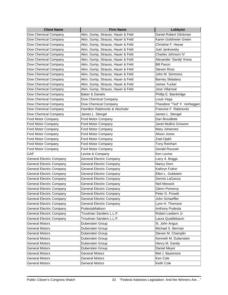| Daniel Robert Glickman<br>Dow Chemical Company<br>Akin, Gump, Strauss, Hauer & Feld<br>Akin, Gump, Strauss, Hauer & Feld<br>Karen Goldmeier Green<br>Dow Chemical Company<br>Akin, Gump, Strauss, Hauer & Feld<br>Christine F. Hesse<br>Dow Chemical Company<br>Akin, Gump, Strauss, Hauer & Feld<br>Joel Jankowsky<br>Dow Chemical Company<br>Charles Johnson IV<br>Dow Chemical Company<br>Akin, Gump, Strauss, Hauer & Feld<br>Dow Chemical Company<br>Akin, Gump, Strauss, Hauer & Feld<br>Alexander 'Sandy' Kress<br><b>Bill Paxon</b><br>Dow Chemical Company<br>Akin, Gump, Strauss, Hauer & Feld<br>Dow Chemical Company<br>Akin, Gump, Strauss, Hauer & Feld<br><b>Steven Ross</b><br>Akin, Gump, Strauss, Hauer & Feld<br>John M. Simmons<br>Dow Chemical Company<br>Akin, Gump, Strauss, Hauer & Feld<br><b>Barney Skladany</b><br>Dow Chemical Company<br>Akin, Gump, Strauss, Hauer & Feld<br>Dow Chemical Company<br>James Tucker<br><b>Jose Villarreal</b><br>Dow Chemical Company<br>Akin, Gump, Strauss, Hauer & Feld<br>Baker & Daniels<br>Phillip E. Bainbridge<br>Dow Chemical Company<br>Dow Chemical Company<br>Dow Chemical Company<br>Louis Vega<br>Dow Chemical Company<br>Dow Chemical Company<br>Theodore "Ted" F. Verheggen<br>Hamilton Rabinovitz & Alschuler<br>Francine F. Rabinovitz<br>Dow Chemical Company<br>Dow Chemical Company<br>James L. Stengel<br>James L. Stengel<br>Ford Motor Company<br>Dan Brouillette<br>Ford Motor Company<br>Ford Motor Company<br>Janet Mullins Grissom<br>Ford Motor Company<br>Ford Motor Company<br>Ford Motor Company<br>Mary Johannes<br>Alison Jones<br>Ford Motor Company<br>Ford Motor Company<br>Ford Motor Company<br>Ziad Ojakli<br>Ford Motor Company<br>Ford Motor Company<br><b>Tony Reinhart</b><br>Ford Motor Company<br><b>Gerald Roussel</b><br>Ford Motor Company<br>Ford Motor Company<br>GAF<br>Levine & Company<br>Ken Levine<br><b>General Electric Company</b><br><b>General Electric Company</b><br>Larry A. Boggs<br><b>General Electric Company</b><br>Nancy Dorn<br><b>General Electric Company</b><br>Kathryn Fulton<br><b>General Electric Company</b><br><b>General Electric Company</b><br>Ellen L. Goldstein<br><b>General Electric Company</b><br><b>General Electric Company</b><br>Dennis LaGanza<br><b>General Electric Company</b><br><b>General Electric Company</b><br><b>General Electric Company</b><br><b>General Electric Company</b><br><b>Neil Messick</b><br><b>General Electric Company</b><br><b>General Electric Company</b><br><b>Glenn Pomeroy</b><br><b>General Electric Company</b><br>General Electric Company<br>Peter D. Prowitt<br><b>General Electric Company</b><br><b>General Electric Company</b><br>John Schaeffler<br><b>General Electric Company</b><br>Lynn H. Thomson<br>General Electric Company<br><b>General Electric Company</b><br>PodestaMattoon<br>Anthony Podesta<br>Troutman Sanders L.L.P.<br>Robert Leebern Jr.<br><b>General Electric Company</b><br>Troutman Sanders L.L.P.<br>Laura Quattlebaum<br><b>General Electric Company</b><br><b>General Motors</b><br>Duberstein Group<br>III, John Angus<br>Michael S. Berman<br><b>General Motors</b><br>Duberstein Group<br><b>General Motors</b><br>Steven M. Champlin<br>Duberstein Group<br><b>General Motors</b><br>Kenneth M. Duberstein<br>Duberstein Group<br>Henry M. Gandy<br><b>General Motors</b><br>Duberstein Group<br><b>General Motors</b><br>Daniel Meyer<br>Duberstein Group<br><b>General Motors</b><br><b>General Motors</b><br>Mel J. Bazemore<br><b>General Motors</b><br><b>General Motors</b><br>Ken Cole | <b>Client Name</b>    | <b>Firm Name</b>      | Lobbyist   |
|----------------------------------------------------------------------------------------------------------------------------------------------------------------------------------------------------------------------------------------------------------------------------------------------------------------------------------------------------------------------------------------------------------------------------------------------------------------------------------------------------------------------------------------------------------------------------------------------------------------------------------------------------------------------------------------------------------------------------------------------------------------------------------------------------------------------------------------------------------------------------------------------------------------------------------------------------------------------------------------------------------------------------------------------------------------------------------------------------------------------------------------------------------------------------------------------------------------------------------------------------------------------------------------------------------------------------------------------------------------------------------------------------------------------------------------------------------------------------------------------------------------------------------------------------------------------------------------------------------------------------------------------------------------------------------------------------------------------------------------------------------------------------------------------------------------------------------------------------------------------------------------------------------------------------------------------------------------------------------------------------------------------------------------------------------------------------------------------------------------------------------------------------------------------------------------------------------------------------------------------------------------------------------------------------------------------------------------------------------------------------------------------------------------------------------------------------------------------------------------------------------------------------------------------------------------------------------------------------------------------------------------------------------------------------------------------------------------------------------------------------------------------------------------------------------------------------------------------------------------------------------------------------------------------------------------------------------------------------------------------------------------------------------------------------------------------------------------------------------------------------------------------------------------------------------------------------------------------------------------------------------------------------------------------------------------------------------------------------------------------------------------------------------------------------------------------------------------------------------------------------------------------------------------------------------------------------------------------------------------------------------|-----------------------|-----------------------|------------|
|                                                                                                                                                                                                                                                                                                                                                                                                                                                                                                                                                                                                                                                                                                                                                                                                                                                                                                                                                                                                                                                                                                                                                                                                                                                                                                                                                                                                                                                                                                                                                                                                                                                                                                                                                                                                                                                                                                                                                                                                                                                                                                                                                                                                                                                                                                                                                                                                                                                                                                                                                                                                                                                                                                                                                                                                                                                                                                                                                                                                                                                                                                                                                                                                                                                                                                                                                                                                                                                                                                                                                                                                                                  |                       |                       |            |
|                                                                                                                                                                                                                                                                                                                                                                                                                                                                                                                                                                                                                                                                                                                                                                                                                                                                                                                                                                                                                                                                                                                                                                                                                                                                                                                                                                                                                                                                                                                                                                                                                                                                                                                                                                                                                                                                                                                                                                                                                                                                                                                                                                                                                                                                                                                                                                                                                                                                                                                                                                                                                                                                                                                                                                                                                                                                                                                                                                                                                                                                                                                                                                                                                                                                                                                                                                                                                                                                                                                                                                                                                                  |                       |                       |            |
|                                                                                                                                                                                                                                                                                                                                                                                                                                                                                                                                                                                                                                                                                                                                                                                                                                                                                                                                                                                                                                                                                                                                                                                                                                                                                                                                                                                                                                                                                                                                                                                                                                                                                                                                                                                                                                                                                                                                                                                                                                                                                                                                                                                                                                                                                                                                                                                                                                                                                                                                                                                                                                                                                                                                                                                                                                                                                                                                                                                                                                                                                                                                                                                                                                                                                                                                                                                                                                                                                                                                                                                                                                  |                       |                       |            |
|                                                                                                                                                                                                                                                                                                                                                                                                                                                                                                                                                                                                                                                                                                                                                                                                                                                                                                                                                                                                                                                                                                                                                                                                                                                                                                                                                                                                                                                                                                                                                                                                                                                                                                                                                                                                                                                                                                                                                                                                                                                                                                                                                                                                                                                                                                                                                                                                                                                                                                                                                                                                                                                                                                                                                                                                                                                                                                                                                                                                                                                                                                                                                                                                                                                                                                                                                                                                                                                                                                                                                                                                                                  |                       |                       |            |
|                                                                                                                                                                                                                                                                                                                                                                                                                                                                                                                                                                                                                                                                                                                                                                                                                                                                                                                                                                                                                                                                                                                                                                                                                                                                                                                                                                                                                                                                                                                                                                                                                                                                                                                                                                                                                                                                                                                                                                                                                                                                                                                                                                                                                                                                                                                                                                                                                                                                                                                                                                                                                                                                                                                                                                                                                                                                                                                                                                                                                                                                                                                                                                                                                                                                                                                                                                                                                                                                                                                                                                                                                                  |                       |                       |            |
|                                                                                                                                                                                                                                                                                                                                                                                                                                                                                                                                                                                                                                                                                                                                                                                                                                                                                                                                                                                                                                                                                                                                                                                                                                                                                                                                                                                                                                                                                                                                                                                                                                                                                                                                                                                                                                                                                                                                                                                                                                                                                                                                                                                                                                                                                                                                                                                                                                                                                                                                                                                                                                                                                                                                                                                                                                                                                                                                                                                                                                                                                                                                                                                                                                                                                                                                                                                                                                                                                                                                                                                                                                  |                       |                       |            |
|                                                                                                                                                                                                                                                                                                                                                                                                                                                                                                                                                                                                                                                                                                                                                                                                                                                                                                                                                                                                                                                                                                                                                                                                                                                                                                                                                                                                                                                                                                                                                                                                                                                                                                                                                                                                                                                                                                                                                                                                                                                                                                                                                                                                                                                                                                                                                                                                                                                                                                                                                                                                                                                                                                                                                                                                                                                                                                                                                                                                                                                                                                                                                                                                                                                                                                                                                                                                                                                                                                                                                                                                                                  |                       |                       |            |
|                                                                                                                                                                                                                                                                                                                                                                                                                                                                                                                                                                                                                                                                                                                                                                                                                                                                                                                                                                                                                                                                                                                                                                                                                                                                                                                                                                                                                                                                                                                                                                                                                                                                                                                                                                                                                                                                                                                                                                                                                                                                                                                                                                                                                                                                                                                                                                                                                                                                                                                                                                                                                                                                                                                                                                                                                                                                                                                                                                                                                                                                                                                                                                                                                                                                                                                                                                                                                                                                                                                                                                                                                                  |                       |                       |            |
|                                                                                                                                                                                                                                                                                                                                                                                                                                                                                                                                                                                                                                                                                                                                                                                                                                                                                                                                                                                                                                                                                                                                                                                                                                                                                                                                                                                                                                                                                                                                                                                                                                                                                                                                                                                                                                                                                                                                                                                                                                                                                                                                                                                                                                                                                                                                                                                                                                                                                                                                                                                                                                                                                                                                                                                                                                                                                                                                                                                                                                                                                                                                                                                                                                                                                                                                                                                                                                                                                                                                                                                                                                  |                       |                       |            |
|                                                                                                                                                                                                                                                                                                                                                                                                                                                                                                                                                                                                                                                                                                                                                                                                                                                                                                                                                                                                                                                                                                                                                                                                                                                                                                                                                                                                                                                                                                                                                                                                                                                                                                                                                                                                                                                                                                                                                                                                                                                                                                                                                                                                                                                                                                                                                                                                                                                                                                                                                                                                                                                                                                                                                                                                                                                                                                                                                                                                                                                                                                                                                                                                                                                                                                                                                                                                                                                                                                                                                                                                                                  |                       |                       |            |
|                                                                                                                                                                                                                                                                                                                                                                                                                                                                                                                                                                                                                                                                                                                                                                                                                                                                                                                                                                                                                                                                                                                                                                                                                                                                                                                                                                                                                                                                                                                                                                                                                                                                                                                                                                                                                                                                                                                                                                                                                                                                                                                                                                                                                                                                                                                                                                                                                                                                                                                                                                                                                                                                                                                                                                                                                                                                                                                                                                                                                                                                                                                                                                                                                                                                                                                                                                                                                                                                                                                                                                                                                                  |                       |                       |            |
|                                                                                                                                                                                                                                                                                                                                                                                                                                                                                                                                                                                                                                                                                                                                                                                                                                                                                                                                                                                                                                                                                                                                                                                                                                                                                                                                                                                                                                                                                                                                                                                                                                                                                                                                                                                                                                                                                                                                                                                                                                                                                                                                                                                                                                                                                                                                                                                                                                                                                                                                                                                                                                                                                                                                                                                                                                                                                                                                                                                                                                                                                                                                                                                                                                                                                                                                                                                                                                                                                                                                                                                                                                  |                       |                       |            |
|                                                                                                                                                                                                                                                                                                                                                                                                                                                                                                                                                                                                                                                                                                                                                                                                                                                                                                                                                                                                                                                                                                                                                                                                                                                                                                                                                                                                                                                                                                                                                                                                                                                                                                                                                                                                                                                                                                                                                                                                                                                                                                                                                                                                                                                                                                                                                                                                                                                                                                                                                                                                                                                                                                                                                                                                                                                                                                                                                                                                                                                                                                                                                                                                                                                                                                                                                                                                                                                                                                                                                                                                                                  |                       |                       |            |
|                                                                                                                                                                                                                                                                                                                                                                                                                                                                                                                                                                                                                                                                                                                                                                                                                                                                                                                                                                                                                                                                                                                                                                                                                                                                                                                                                                                                                                                                                                                                                                                                                                                                                                                                                                                                                                                                                                                                                                                                                                                                                                                                                                                                                                                                                                                                                                                                                                                                                                                                                                                                                                                                                                                                                                                                                                                                                                                                                                                                                                                                                                                                                                                                                                                                                                                                                                                                                                                                                                                                                                                                                                  |                       |                       |            |
|                                                                                                                                                                                                                                                                                                                                                                                                                                                                                                                                                                                                                                                                                                                                                                                                                                                                                                                                                                                                                                                                                                                                                                                                                                                                                                                                                                                                                                                                                                                                                                                                                                                                                                                                                                                                                                                                                                                                                                                                                                                                                                                                                                                                                                                                                                                                                                                                                                                                                                                                                                                                                                                                                                                                                                                                                                                                                                                                                                                                                                                                                                                                                                                                                                                                                                                                                                                                                                                                                                                                                                                                                                  |                       |                       |            |
|                                                                                                                                                                                                                                                                                                                                                                                                                                                                                                                                                                                                                                                                                                                                                                                                                                                                                                                                                                                                                                                                                                                                                                                                                                                                                                                                                                                                                                                                                                                                                                                                                                                                                                                                                                                                                                                                                                                                                                                                                                                                                                                                                                                                                                                                                                                                                                                                                                                                                                                                                                                                                                                                                                                                                                                                                                                                                                                                                                                                                                                                                                                                                                                                                                                                                                                                                                                                                                                                                                                                                                                                                                  |                       |                       |            |
|                                                                                                                                                                                                                                                                                                                                                                                                                                                                                                                                                                                                                                                                                                                                                                                                                                                                                                                                                                                                                                                                                                                                                                                                                                                                                                                                                                                                                                                                                                                                                                                                                                                                                                                                                                                                                                                                                                                                                                                                                                                                                                                                                                                                                                                                                                                                                                                                                                                                                                                                                                                                                                                                                                                                                                                                                                                                                                                                                                                                                                                                                                                                                                                                                                                                                                                                                                                                                                                                                                                                                                                                                                  |                       |                       |            |
|                                                                                                                                                                                                                                                                                                                                                                                                                                                                                                                                                                                                                                                                                                                                                                                                                                                                                                                                                                                                                                                                                                                                                                                                                                                                                                                                                                                                                                                                                                                                                                                                                                                                                                                                                                                                                                                                                                                                                                                                                                                                                                                                                                                                                                                                                                                                                                                                                                                                                                                                                                                                                                                                                                                                                                                                                                                                                                                                                                                                                                                                                                                                                                                                                                                                                                                                                                                                                                                                                                                                                                                                                                  |                       |                       |            |
|                                                                                                                                                                                                                                                                                                                                                                                                                                                                                                                                                                                                                                                                                                                                                                                                                                                                                                                                                                                                                                                                                                                                                                                                                                                                                                                                                                                                                                                                                                                                                                                                                                                                                                                                                                                                                                                                                                                                                                                                                                                                                                                                                                                                                                                                                                                                                                                                                                                                                                                                                                                                                                                                                                                                                                                                                                                                                                                                                                                                                                                                                                                                                                                                                                                                                                                                                                                                                                                                                                                                                                                                                                  |                       |                       |            |
|                                                                                                                                                                                                                                                                                                                                                                                                                                                                                                                                                                                                                                                                                                                                                                                                                                                                                                                                                                                                                                                                                                                                                                                                                                                                                                                                                                                                                                                                                                                                                                                                                                                                                                                                                                                                                                                                                                                                                                                                                                                                                                                                                                                                                                                                                                                                                                                                                                                                                                                                                                                                                                                                                                                                                                                                                                                                                                                                                                                                                                                                                                                                                                                                                                                                                                                                                                                                                                                                                                                                                                                                                                  |                       |                       |            |
|                                                                                                                                                                                                                                                                                                                                                                                                                                                                                                                                                                                                                                                                                                                                                                                                                                                                                                                                                                                                                                                                                                                                                                                                                                                                                                                                                                                                                                                                                                                                                                                                                                                                                                                                                                                                                                                                                                                                                                                                                                                                                                                                                                                                                                                                                                                                                                                                                                                                                                                                                                                                                                                                                                                                                                                                                                                                                                                                                                                                                                                                                                                                                                                                                                                                                                                                                                                                                                                                                                                                                                                                                                  |                       |                       |            |
|                                                                                                                                                                                                                                                                                                                                                                                                                                                                                                                                                                                                                                                                                                                                                                                                                                                                                                                                                                                                                                                                                                                                                                                                                                                                                                                                                                                                                                                                                                                                                                                                                                                                                                                                                                                                                                                                                                                                                                                                                                                                                                                                                                                                                                                                                                                                                                                                                                                                                                                                                                                                                                                                                                                                                                                                                                                                                                                                                                                                                                                                                                                                                                                                                                                                                                                                                                                                                                                                                                                                                                                                                                  |                       |                       |            |
|                                                                                                                                                                                                                                                                                                                                                                                                                                                                                                                                                                                                                                                                                                                                                                                                                                                                                                                                                                                                                                                                                                                                                                                                                                                                                                                                                                                                                                                                                                                                                                                                                                                                                                                                                                                                                                                                                                                                                                                                                                                                                                                                                                                                                                                                                                                                                                                                                                                                                                                                                                                                                                                                                                                                                                                                                                                                                                                                                                                                                                                                                                                                                                                                                                                                                                                                                                                                                                                                                                                                                                                                                                  |                       |                       |            |
|                                                                                                                                                                                                                                                                                                                                                                                                                                                                                                                                                                                                                                                                                                                                                                                                                                                                                                                                                                                                                                                                                                                                                                                                                                                                                                                                                                                                                                                                                                                                                                                                                                                                                                                                                                                                                                                                                                                                                                                                                                                                                                                                                                                                                                                                                                                                                                                                                                                                                                                                                                                                                                                                                                                                                                                                                                                                                                                                                                                                                                                                                                                                                                                                                                                                                                                                                                                                                                                                                                                                                                                                                                  |                       |                       |            |
|                                                                                                                                                                                                                                                                                                                                                                                                                                                                                                                                                                                                                                                                                                                                                                                                                                                                                                                                                                                                                                                                                                                                                                                                                                                                                                                                                                                                                                                                                                                                                                                                                                                                                                                                                                                                                                                                                                                                                                                                                                                                                                                                                                                                                                                                                                                                                                                                                                                                                                                                                                                                                                                                                                                                                                                                                                                                                                                                                                                                                                                                                                                                                                                                                                                                                                                                                                                                                                                                                                                                                                                                                                  |                       |                       |            |
|                                                                                                                                                                                                                                                                                                                                                                                                                                                                                                                                                                                                                                                                                                                                                                                                                                                                                                                                                                                                                                                                                                                                                                                                                                                                                                                                                                                                                                                                                                                                                                                                                                                                                                                                                                                                                                                                                                                                                                                                                                                                                                                                                                                                                                                                                                                                                                                                                                                                                                                                                                                                                                                                                                                                                                                                                                                                                                                                                                                                                                                                                                                                                                                                                                                                                                                                                                                                                                                                                                                                                                                                                                  |                       |                       |            |
|                                                                                                                                                                                                                                                                                                                                                                                                                                                                                                                                                                                                                                                                                                                                                                                                                                                                                                                                                                                                                                                                                                                                                                                                                                                                                                                                                                                                                                                                                                                                                                                                                                                                                                                                                                                                                                                                                                                                                                                                                                                                                                                                                                                                                                                                                                                                                                                                                                                                                                                                                                                                                                                                                                                                                                                                                                                                                                                                                                                                                                                                                                                                                                                                                                                                                                                                                                                                                                                                                                                                                                                                                                  |                       |                       |            |
|                                                                                                                                                                                                                                                                                                                                                                                                                                                                                                                                                                                                                                                                                                                                                                                                                                                                                                                                                                                                                                                                                                                                                                                                                                                                                                                                                                                                                                                                                                                                                                                                                                                                                                                                                                                                                                                                                                                                                                                                                                                                                                                                                                                                                                                                                                                                                                                                                                                                                                                                                                                                                                                                                                                                                                                                                                                                                                                                                                                                                                                                                                                                                                                                                                                                                                                                                                                                                                                                                                                                                                                                                                  |                       |                       |            |
|                                                                                                                                                                                                                                                                                                                                                                                                                                                                                                                                                                                                                                                                                                                                                                                                                                                                                                                                                                                                                                                                                                                                                                                                                                                                                                                                                                                                                                                                                                                                                                                                                                                                                                                                                                                                                                                                                                                                                                                                                                                                                                                                                                                                                                                                                                                                                                                                                                                                                                                                                                                                                                                                                                                                                                                                                                                                                                                                                                                                                                                                                                                                                                                                                                                                                                                                                                                                                                                                                                                                                                                                                                  |                       |                       |            |
|                                                                                                                                                                                                                                                                                                                                                                                                                                                                                                                                                                                                                                                                                                                                                                                                                                                                                                                                                                                                                                                                                                                                                                                                                                                                                                                                                                                                                                                                                                                                                                                                                                                                                                                                                                                                                                                                                                                                                                                                                                                                                                                                                                                                                                                                                                                                                                                                                                                                                                                                                                                                                                                                                                                                                                                                                                                                                                                                                                                                                                                                                                                                                                                                                                                                                                                                                                                                                                                                                                                                                                                                                                  |                       |                       |            |
|                                                                                                                                                                                                                                                                                                                                                                                                                                                                                                                                                                                                                                                                                                                                                                                                                                                                                                                                                                                                                                                                                                                                                                                                                                                                                                                                                                                                                                                                                                                                                                                                                                                                                                                                                                                                                                                                                                                                                                                                                                                                                                                                                                                                                                                                                                                                                                                                                                                                                                                                                                                                                                                                                                                                                                                                                                                                                                                                                                                                                                                                                                                                                                                                                                                                                                                                                                                                                                                                                                                                                                                                                                  |                       |                       |            |
|                                                                                                                                                                                                                                                                                                                                                                                                                                                                                                                                                                                                                                                                                                                                                                                                                                                                                                                                                                                                                                                                                                                                                                                                                                                                                                                                                                                                                                                                                                                                                                                                                                                                                                                                                                                                                                                                                                                                                                                                                                                                                                                                                                                                                                                                                                                                                                                                                                                                                                                                                                                                                                                                                                                                                                                                                                                                                                                                                                                                                                                                                                                                                                                                                                                                                                                                                                                                                                                                                                                                                                                                                                  |                       |                       |            |
|                                                                                                                                                                                                                                                                                                                                                                                                                                                                                                                                                                                                                                                                                                                                                                                                                                                                                                                                                                                                                                                                                                                                                                                                                                                                                                                                                                                                                                                                                                                                                                                                                                                                                                                                                                                                                                                                                                                                                                                                                                                                                                                                                                                                                                                                                                                                                                                                                                                                                                                                                                                                                                                                                                                                                                                                                                                                                                                                                                                                                                                                                                                                                                                                                                                                                                                                                                                                                                                                                                                                                                                                                                  |                       |                       |            |
|                                                                                                                                                                                                                                                                                                                                                                                                                                                                                                                                                                                                                                                                                                                                                                                                                                                                                                                                                                                                                                                                                                                                                                                                                                                                                                                                                                                                                                                                                                                                                                                                                                                                                                                                                                                                                                                                                                                                                                                                                                                                                                                                                                                                                                                                                                                                                                                                                                                                                                                                                                                                                                                                                                                                                                                                                                                                                                                                                                                                                                                                                                                                                                                                                                                                                                                                                                                                                                                                                                                                                                                                                                  |                       |                       |            |
|                                                                                                                                                                                                                                                                                                                                                                                                                                                                                                                                                                                                                                                                                                                                                                                                                                                                                                                                                                                                                                                                                                                                                                                                                                                                                                                                                                                                                                                                                                                                                                                                                                                                                                                                                                                                                                                                                                                                                                                                                                                                                                                                                                                                                                                                                                                                                                                                                                                                                                                                                                                                                                                                                                                                                                                                                                                                                                                                                                                                                                                                                                                                                                                                                                                                                                                                                                                                                                                                                                                                                                                                                                  |                       |                       |            |
|                                                                                                                                                                                                                                                                                                                                                                                                                                                                                                                                                                                                                                                                                                                                                                                                                                                                                                                                                                                                                                                                                                                                                                                                                                                                                                                                                                                                                                                                                                                                                                                                                                                                                                                                                                                                                                                                                                                                                                                                                                                                                                                                                                                                                                                                                                                                                                                                                                                                                                                                                                                                                                                                                                                                                                                                                                                                                                                                                                                                                                                                                                                                                                                                                                                                                                                                                                                                                                                                                                                                                                                                                                  |                       |                       |            |
|                                                                                                                                                                                                                                                                                                                                                                                                                                                                                                                                                                                                                                                                                                                                                                                                                                                                                                                                                                                                                                                                                                                                                                                                                                                                                                                                                                                                                                                                                                                                                                                                                                                                                                                                                                                                                                                                                                                                                                                                                                                                                                                                                                                                                                                                                                                                                                                                                                                                                                                                                                                                                                                                                                                                                                                                                                                                                                                                                                                                                                                                                                                                                                                                                                                                                                                                                                                                                                                                                                                                                                                                                                  |                       |                       |            |
|                                                                                                                                                                                                                                                                                                                                                                                                                                                                                                                                                                                                                                                                                                                                                                                                                                                                                                                                                                                                                                                                                                                                                                                                                                                                                                                                                                                                                                                                                                                                                                                                                                                                                                                                                                                                                                                                                                                                                                                                                                                                                                                                                                                                                                                                                                                                                                                                                                                                                                                                                                                                                                                                                                                                                                                                                                                                                                                                                                                                                                                                                                                                                                                                                                                                                                                                                                                                                                                                                                                                                                                                                                  |                       |                       |            |
|                                                                                                                                                                                                                                                                                                                                                                                                                                                                                                                                                                                                                                                                                                                                                                                                                                                                                                                                                                                                                                                                                                                                                                                                                                                                                                                                                                                                                                                                                                                                                                                                                                                                                                                                                                                                                                                                                                                                                                                                                                                                                                                                                                                                                                                                                                                                                                                                                                                                                                                                                                                                                                                                                                                                                                                                                                                                                                                                                                                                                                                                                                                                                                                                                                                                                                                                                                                                                                                                                                                                                                                                                                  |                       |                       |            |
|                                                                                                                                                                                                                                                                                                                                                                                                                                                                                                                                                                                                                                                                                                                                                                                                                                                                                                                                                                                                                                                                                                                                                                                                                                                                                                                                                                                                                                                                                                                                                                                                                                                                                                                                                                                                                                                                                                                                                                                                                                                                                                                                                                                                                                                                                                                                                                                                                                                                                                                                                                                                                                                                                                                                                                                                                                                                                                                                                                                                                                                                                                                                                                                                                                                                                                                                                                                                                                                                                                                                                                                                                                  |                       |                       |            |
|                                                                                                                                                                                                                                                                                                                                                                                                                                                                                                                                                                                                                                                                                                                                                                                                                                                                                                                                                                                                                                                                                                                                                                                                                                                                                                                                                                                                                                                                                                                                                                                                                                                                                                                                                                                                                                                                                                                                                                                                                                                                                                                                                                                                                                                                                                                                                                                                                                                                                                                                                                                                                                                                                                                                                                                                                                                                                                                                                                                                                                                                                                                                                                                                                                                                                                                                                                                                                                                                                                                                                                                                                                  |                       |                       |            |
|                                                                                                                                                                                                                                                                                                                                                                                                                                                                                                                                                                                                                                                                                                                                                                                                                                                                                                                                                                                                                                                                                                                                                                                                                                                                                                                                                                                                                                                                                                                                                                                                                                                                                                                                                                                                                                                                                                                                                                                                                                                                                                                                                                                                                                                                                                                                                                                                                                                                                                                                                                                                                                                                                                                                                                                                                                                                                                                                                                                                                                                                                                                                                                                                                                                                                                                                                                                                                                                                                                                                                                                                                                  |                       |                       |            |
|                                                                                                                                                                                                                                                                                                                                                                                                                                                                                                                                                                                                                                                                                                                                                                                                                                                                                                                                                                                                                                                                                                                                                                                                                                                                                                                                                                                                                                                                                                                                                                                                                                                                                                                                                                                                                                                                                                                                                                                                                                                                                                                                                                                                                                                                                                                                                                                                                                                                                                                                                                                                                                                                                                                                                                                                                                                                                                                                                                                                                                                                                                                                                                                                                                                                                                                                                                                                                                                                                                                                                                                                                                  |                       |                       |            |
|                                                                                                                                                                                                                                                                                                                                                                                                                                                                                                                                                                                                                                                                                                                                                                                                                                                                                                                                                                                                                                                                                                                                                                                                                                                                                                                                                                                                                                                                                                                                                                                                                                                                                                                                                                                                                                                                                                                                                                                                                                                                                                                                                                                                                                                                                                                                                                                                                                                                                                                                                                                                                                                                                                                                                                                                                                                                                                                                                                                                                                                                                                                                                                                                                                                                                                                                                                                                                                                                                                                                                                                                                                  |                       |                       |            |
|                                                                                                                                                                                                                                                                                                                                                                                                                                                                                                                                                                                                                                                                                                                                                                                                                                                                                                                                                                                                                                                                                                                                                                                                                                                                                                                                                                                                                                                                                                                                                                                                                                                                                                                                                                                                                                                                                                                                                                                                                                                                                                                                                                                                                                                                                                                                                                                                                                                                                                                                                                                                                                                                                                                                                                                                                                                                                                                                                                                                                                                                                                                                                                                                                                                                                                                                                                                                                                                                                                                                                                                                                                  |                       |                       |            |
|                                                                                                                                                                                                                                                                                                                                                                                                                                                                                                                                                                                                                                                                                                                                                                                                                                                                                                                                                                                                                                                                                                                                                                                                                                                                                                                                                                                                                                                                                                                                                                                                                                                                                                                                                                                                                                                                                                                                                                                                                                                                                                                                                                                                                                                                                                                                                                                                                                                                                                                                                                                                                                                                                                                                                                                                                                                                                                                                                                                                                                                                                                                                                                                                                                                                                                                                                                                                                                                                                                                                                                                                                                  |                       |                       |            |
|                                                                                                                                                                                                                                                                                                                                                                                                                                                                                                                                                                                                                                                                                                                                                                                                                                                                                                                                                                                                                                                                                                                                                                                                                                                                                                                                                                                                                                                                                                                                                                                                                                                                                                                                                                                                                                                                                                                                                                                                                                                                                                                                                                                                                                                                                                                                                                                                                                                                                                                                                                                                                                                                                                                                                                                                                                                                                                                                                                                                                                                                                                                                                                                                                                                                                                                                                                                                                                                                                                                                                                                                                                  | <b>General Motors</b> | <b>General Motors</b> | Keith Cole |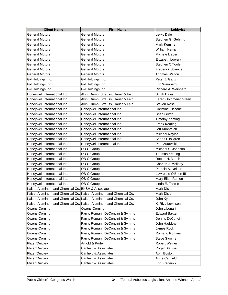| <b>Client Name</b>                                                | <b>Firm Name</b>                                                  | Lobbyist                 |
|-------------------------------------------------------------------|-------------------------------------------------------------------|--------------------------|
| <b>General Motors</b>                                             | <b>General Motors</b>                                             | Lewis Dale               |
| <b>General Motors</b>                                             | <b>General Motors</b>                                             | Stephen G. Gehring       |
| <b>General Motors</b>                                             | <b>General Motors</b>                                             | Mark Kemmer              |
| General Motors                                                    | <b>General Motors</b>                                             | William Kemp             |
| General Motors                                                    | <b>General Motors</b>                                             | Michele Lieber           |
| <b>General Motors</b>                                             | <b>General Motors</b>                                             | Elizabeth Lowery         |
| <b>General Motors</b>                                             | <b>General Motors</b>                                             | Stephen O'Toole          |
| <b>General Motors</b>                                             | <b>General Motors</b>                                             | <b>Frederick Sciance</b> |
| <b>General Motors</b>                                             | <b>General Motors</b>                                             | Thomas Walton            |
| G-I Holdings Inc.                                                 | G-I Holdings Inc.                                                 | Peter J. Ganz            |
| G-I Holdings Inc.                                                 | G-I Holdings Inc.                                                 | Eric Weinberg            |
| G-I Holdings Inc.                                                 | G-I Holdings Inc.                                                 | Richard A. Weinberg      |
| Honeywell International Inc.                                      | Akin, Gump, Strauss, Hauer & Feld                                 | <b>Smith Davis</b>       |
| Honeywell International Inc.                                      | Akin, Gump, Strauss, Hauer & Feld                                 | Karen Goldmeier Green    |
| Honeywell International Inc.                                      | Akin, Gump, Strauss, Hauer & Feld                                 | <b>Steven Ross</b>       |
| Honeywell International Inc.                                      | Honeywell International Inc.                                      | <b>Christine Ciccone</b> |
| Honeywell International Inc.                                      | Honeywell International Inc.                                      | <b>Brian Griffin</b>     |
| Honeywell International Inc.                                      | Honeywell International Inc.                                      | <b>Timothy Keating</b>   |
| Honeywell International Inc.                                      | Honeywell International Inc.                                      | Frank Keating            |
| Honeywell International Inc.                                      | Honeywell International Inc.                                      | Jeff Kuhnreich           |
| Honeywell International Inc.                                      | Honeywell International Inc.                                      | Michael Naylor           |
| Honeywell International Inc.                                      | Honeywell International Inc.                                      | Sean O'Hallaren          |
| Honeywell International Inc.                                      | Honeywell International Inc.                                      | Paul Zurawski            |
| Honeywell International Inc.                                      | OB-C Group                                                        | Michael S. Johnson       |
| Honeywell International Inc.                                      | OB-C Group                                                        | <b>Thomas Keating</b>    |
| Honeywell International Inc.                                      | OB-C Group                                                        | Robert H. Marsh          |
| Honeywell International Inc.                                      | OB-C Group                                                        | Charles J. Mellody       |
| Honeywell International Inc.                                      | OB-C Group                                                        | Patricia A. Nelson       |
| Honeywell International Inc.                                      | OB-C Group                                                        | Lawrence O'Brien III     |
| Honeywell International Inc.                                      | OB-C Group                                                        | Mary Ellen Ruhlen        |
| Honeywell International Inc.                                      | OB-C Group                                                        | Linda E. Tarplin         |
| Kaiser Aluminum and Chemical Co. BKSH & Associates                |                                                                   | Mark Disler              |
| Kaiser Aluminum and Chemical Co. Kaiser Aluminum and Chemical Co. |                                                                   | Mark Disler              |
|                                                                   | Kaiser Aluminum and Chemical Co. Kaiser Aluminum and Chemical Co. | John Kyte                |
|                                                                   | Kaiser Aluminum and Chemical Co. Kaiser Aluminum and Chemical Co. | K. Riva Levinson         |
| Owens-Corning                                                     | Owens-Corning                                                     | John Libonari            |
| Owens-Corning                                                     | Parry, Romani, DeConcini & Symms                                  | <b>Edward Baxter</b>     |
| Owens-Corning                                                     | Parry, Romani, DeConcini & Symms                                  | Dennis DeConcini         |
| Owens-Corning                                                     | Parry, Romani, DeConcini & Symms                                  | John Haddow              |
| Owens-Corning                                                     | Parry, Romani, DeConcini & Symms                                  | James Rock               |
| Owens-Corning                                                     | Parry, Romani, DeConcini & Symms                                  | Romano Romani            |
| Owens-Corning                                                     | Parry, Romani, DeConcini & Symms                                  | <b>Steve Symms</b>       |
| Pfizer/Quigley                                                    | Arnold & Porter                                                   | <b>Robert Weiner</b>     |
| Pfizer/Quigley                                                    | Canfield & Associates                                             | Roger Blauwet            |
| Pfizer/Quigley                                                    | Canfield & Associates                                             | April Boston             |
| Pfizer/Quigley                                                    | Canfield & Associates                                             | Anne Canfield            |
| Pfizer/Quigley                                                    | Canfield & Associates                                             | Erin Frederick           |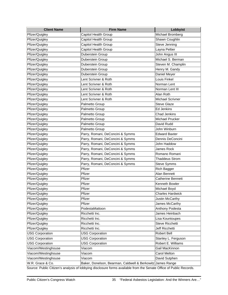| <b>Client Name</b>     | <b>Firm Name</b>                                           | Lobbyist                 |
|------------------------|------------------------------------------------------------|--------------------------|
| Pfizer/Quigley         | Capitol Health Group                                       | Michael Bromberg         |
| Pfizer/Quigley         | Capitol Health Group                                       | Shawn Coughlin           |
| Pfizer/Quigley         | Capitol Health Group                                       | Steve Jenning            |
| Pfizer/Quigley         | Capitol Health Group                                       | Layna Peltier            |
| Pfizer/Quigley         | Duberstein Group                                           | John Angus III           |
| Pfizer/Quigley         | Duberstein Group                                           | Michael S. Berman        |
| Pfizer/Quigley         | Duberstein Group                                           | Steven M. Champlin       |
| Pfizer/Quigley         | Duberstein Group                                           | Henry M. Gandy           |
| Pfizer/Quigley         | Duberstein Group                                           | Daniel Meyer             |
| Pfizer/Quigley         | Lent Scrivner & Roth                                       | Louis Finkel             |
| Pfizer/Quigley         | Lent Scrivner & Roth                                       | Norman Lent              |
| Pfizer/Quigley         | Lent Scrivner & Roth                                       | Norman Lent III          |
| Pfizer/Quigley         | Lent Scrivner & Roth                                       | Alan Roth                |
| Pfizer/Quigley         | Lent Scrivner & Roth                                       | Michael Scrivner         |
| Pfizer/Quigley         | Palmetto Group                                             | <b>Steve Glaze</b>       |
| Pfizer/Quigley         | Palmetto Group                                             | Ed Jenkins               |
| Pfizer/Quigley         | Palmetto Group                                             | <b>Chad Jenkins</b>      |
| Pfizer/Quigley         | Palmetto Group                                             | Michael Prucker          |
| Pfizer/Quigley         | Palmetto Group                                             | David Rudd               |
| Pfizer/Quigley         | Palmetto Group                                             | John Winburn             |
| Pfizer/Quigley         | Parry, Romani, DeConcini & Symms                           | <b>Edward Baxter</b>     |
| Pfizer/Quigley         | Parry, Romani, DeConcini & Symms                           | Dennis DeConcini         |
| Pfizer/Quigley         | Parry, Romani, DeConcini & Symms                           | John Haddow              |
| Pfizer/Quigley         | Parry, Romani, DeConcini & Symms                           | <b>James Rock</b>        |
| Pfizer/Quigley         | Parry, Romani, DeConcini & Symms                           | Romano Romani            |
| Pfizer/Quigley         | Parry, Romani, DeConcini & Symms                           | <b>Thaddeus Strom</b>    |
| Pfizer/Quigley         | Parry, Romani, DeConcini & Symms                           | <b>Steve Symms</b>       |
| Pfizer/Quigley         | Pfizer                                                     | <b>Rich Bagger</b>       |
| Pfizer/Quigley         | Pfizer                                                     | Alan Bennett             |
| Pfizer/Quigley         | Pfizer                                                     | <b>Catherine Bennett</b> |
| Pfizer/Quigley         | Pfizer                                                     | Kenneth Bowler           |
| Pfizer/Quigley         | Pfizer                                                     | Michael Boyd             |
| Pfizer/Quigley         | Pfizer                                                     | <b>Charles Hardwick</b>  |
| Pfizer/Quigley         | Pfizer                                                     | Justin McCarthy          |
| Pfizer/Quigley         | Pfizer                                                     | James McCarthy           |
| Pfizer/Quigley         | PodestaMattoon                                             | Anthony Podesta          |
| Pfizer/Quigley         | Ricchetti Inc.                                             | James Heinbach           |
| Pfizer/Quigley         | Ricchetti Inc.                                             | Lisa Kountoupes          |
| Pfizer/Quigley         | Ricchetti Inc.                                             | Steve Ricchetti          |
| Pfizer/Quigley         | Ricchetti Inc.                                             | Jeff Ricchetti           |
| <b>USG Corporation</b> | <b>USG Corporation</b>                                     | Robert Bell              |
| <b>USG Corporation</b> | <b>USG Corporation</b>                                     | Stanley L. Ferguson      |
| <b>USG Corporation</b> | <b>USG Corporation</b>                                     | Robert E. Williams       |
| Viacom/Westinghouse    | Viacom                                                     | Gail MacKinnon           |
| Viacom/Westinghouse    | Viacom                                                     | Carol Melton             |
| Viacom/Westinghouse    | Viacom                                                     | David Sutphen            |
| W.R. Grace & Co.       | Baker, Donelson, Bearman, Caldwell & Berkowitz James Range |                          |

Source: Public Citizen's analysis of lobbying disclosure forms available from the Senate Office of Public Records.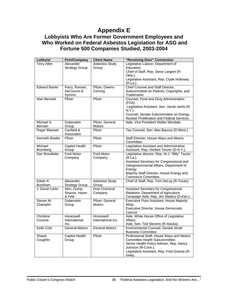## **Appendix E**

### **Lobbyists Who Are Former Government Employees and Who Worked on Federal Asbestos Legislation for ASG and Fortune 500 Companies Studied, 2003-2004**

| <b>Terry Allen</b><br>Asbestos Study<br>Legislative Liaison, Department of<br>Alexander<br>Education.<br><b>Strategy Group</b><br>Group<br>Chief of Staff, Rep. Steve Largent (R-<br>Okla.).<br>Legislative Assistant, Rep. Clyde Holloway<br>$(R-La)$ .<br><b>Edward Baxter</b><br>Chief Counsel and Staff Director,<br>Pfizer, Owens-<br>Parry, Romani,<br>DeConcini &<br>Corning<br>Subcommittee on Patents, Copyrights, and<br>Trademarks<br>Symms<br>Alan Bennett<br>Pfizer<br>Counsel, Food and Drug Administration<br>Pfizer |
|-------------------------------------------------------------------------------------------------------------------------------------------------------------------------------------------------------------------------------------------------------------------------------------------------------------------------------------------------------------------------------------------------------------------------------------------------------------------------------------------------------------------------------------|
|                                                                                                                                                                                                                                                                                                                                                                                                                                                                                                                                     |
|                                                                                                                                                                                                                                                                                                                                                                                                                                                                                                                                     |
|                                                                                                                                                                                                                                                                                                                                                                                                                                                                                                                                     |
|                                                                                                                                                                                                                                                                                                                                                                                                                                                                                                                                     |
|                                                                                                                                                                                                                                                                                                                                                                                                                                                                                                                                     |
|                                                                                                                                                                                                                                                                                                                                                                                                                                                                                                                                     |
|                                                                                                                                                                                                                                                                                                                                                                                                                                                                                                                                     |
|                                                                                                                                                                                                                                                                                                                                                                                                                                                                                                                                     |
|                                                                                                                                                                                                                                                                                                                                                                                                                                                                                                                                     |
|                                                                                                                                                                                                                                                                                                                                                                                                                                                                                                                                     |
| (FDA).                                                                                                                                                                                                                                                                                                                                                                                                                                                                                                                              |
| Legislative Assistant, Sen. Jacob Javits (R-                                                                                                                                                                                                                                                                                                                                                                                                                                                                                        |
| $N.Y.$ ).                                                                                                                                                                                                                                                                                                                                                                                                                                                                                                                           |
| Counsel, Senate Subcommittee on Energy,                                                                                                                                                                                                                                                                                                                                                                                                                                                                                             |
| Nuclear Proliferation and Federal Services.                                                                                                                                                                                                                                                                                                                                                                                                                                                                                         |
| Michael S.<br>Pfizer, General<br>Aide, Vice President Walter Mondale.<br><b>Duberstein</b>                                                                                                                                                                                                                                                                                                                                                                                                                                          |
| Berman<br>Group<br><b>Motors</b><br>Canfield &<br>Tax Counsel, Sen. Max Baucus (D-Mont.).<br>Roger Blauwet<br>Pfizer                                                                                                                                                                                                                                                                                                                                                                                                                |
| Associates                                                                                                                                                                                                                                                                                                                                                                                                                                                                                                                          |
| Kenneth Bowler<br>Pfizer<br>Staff Director, House Ways and Means<br>Pfizer                                                                                                                                                                                                                                                                                                                                                                                                                                                          |
| Committee.                                                                                                                                                                                                                                                                                                                                                                                                                                                                                                                          |
| Capitol Health<br>Pfizer<br>Michael<br>Legislative Assistant and Administrative                                                                                                                                                                                                                                                                                                                                                                                                                                                     |
| Assistant, Rep. Herbert Tenzer (D-N.Y.).<br><b>Brombera</b><br>Group                                                                                                                                                                                                                                                                                                                                                                                                                                                                |
| Dan Brouillette<br>Ford Motor<br>Ford Motor<br>Legislative director, Rep. W.J. "Billy" Tauzin                                                                                                                                                                                                                                                                                                                                                                                                                                       |
| (R-La.).<br>Company<br>Company                                                                                                                                                                                                                                                                                                                                                                                                                                                                                                      |
| Assistant Secretary for Congressional and                                                                                                                                                                                                                                                                                                                                                                                                                                                                                           |
| Intergovernmental Affairs, Department of                                                                                                                                                                                                                                                                                                                                                                                                                                                                                            |
| Energy.                                                                                                                                                                                                                                                                                                                                                                                                                                                                                                                             |
| Majority Staff Director, House Energy and                                                                                                                                                                                                                                                                                                                                                                                                                                                                                           |
| Commerce Committee.                                                                                                                                                                                                                                                                                                                                                                                                                                                                                                                 |
| Edwin A<br>Alexander<br>Chief of Staff, Rep. Tom DeLay (R-Texas).<br>Asbestos Study                                                                                                                                                                                                                                                                                                                                                                                                                                                 |
| <b>Buckham</b><br><b>Strategy Group</b><br>Group                                                                                                                                                                                                                                                                                                                                                                                                                                                                                    |
| J. David Carlin<br>Dow Chemical<br>Assistant Secretary for Congressional<br>Akin, Gump,                                                                                                                                                                                                                                                                                                                                                                                                                                             |
| Strauss, Hauer<br>Relations, Department of Agriculture.<br>Company                                                                                                                                                                                                                                                                                                                                                                                                                                                                  |
| & Feld<br>Campaign Aide, Rep. Jim Slattery (D-Kan.).                                                                                                                                                                                                                                                                                                                                                                                                                                                                                |
| Steven M.<br>Executive Floor Assistant, House Majority<br>Duberstein<br>Pfizer, General                                                                                                                                                                                                                                                                                                                                                                                                                                             |
| Whip.<br>Champlin<br>Motors<br>Group                                                                                                                                                                                                                                                                                                                                                                                                                                                                                                |
| Executive Director, House Democratic                                                                                                                                                                                                                                                                                                                                                                                                                                                                                                |
| Caucus                                                                                                                                                                                                                                                                                                                                                                                                                                                                                                                              |
| Aide, White House Office of Legislative<br>Honeywell<br>Christine<br>Honeywell                                                                                                                                                                                                                                                                                                                                                                                                                                                      |
| International Inc.<br>International<br>Affairs.<br>Ciccone                                                                                                                                                                                                                                                                                                                                                                                                                                                                          |
| Aide, Sen. Ted Stevens (R-Alaska).<br>Inc.                                                                                                                                                                                                                                                                                                                                                                                                                                                                                          |
| Keith Cole<br><b>General Motors</b><br><b>General Motors</b><br>Environmental Counsel, Senate Small                                                                                                                                                                                                                                                                                                                                                                                                                                 |
| <b>Business Committee.</b><br>Professional Staff, House Ways and Means<br>Pfizer<br>Shawn                                                                                                                                                                                                                                                                                                                                                                                                                                           |
| Capitol Health<br>Committee Health Subcommittee.<br>Coughlin<br>Group                                                                                                                                                                                                                                                                                                                                                                                                                                                               |
| Senior Health Policy Adviser, Rep. Nancy                                                                                                                                                                                                                                                                                                                                                                                                                                                                                            |
| Johnson (R-Conn.).                                                                                                                                                                                                                                                                                                                                                                                                                                                                                                                  |
|                                                                                                                                                                                                                                                                                                                                                                                                                                                                                                                                     |
| Legislative Assistant, Rep. Fred Grandy (R-                                                                                                                                                                                                                                                                                                                                                                                                                                                                                         |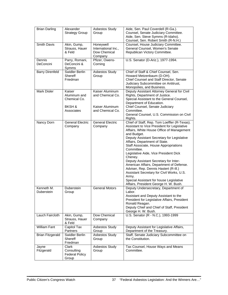| <b>Brian Darling</b>     | Alexander<br><b>Strategy Group</b>                                        | Asbestos Study<br>Group                                                    | Aide, Sen. Paul Coverdell (R-Ga.).<br>Counsel, Senate Judiciary Committee.<br>Aide, Sen. Steve Symms (R-Idaho).<br>Counsel, Sen. Robert Smith (R-N.H.)                                                                                                                                                                                                                                                                                                                                                                                                                                                                    |
|--------------------------|---------------------------------------------------------------------------|----------------------------------------------------------------------------|---------------------------------------------------------------------------------------------------------------------------------------------------------------------------------------------------------------------------------------------------------------------------------------------------------------------------------------------------------------------------------------------------------------------------------------------------------------------------------------------------------------------------------------------------------------------------------------------------------------------------|
| Smith Davis              | Akin, Gump,<br>Strauss, Hauer<br>& Feld                                   | Honeywell<br>International Inc.,<br>Dow Chemical<br>Company                | Counsel, House Judiciary Committee.<br>General Counsel, Women's Senate<br>Republican Victory Committee.                                                                                                                                                                                                                                                                                                                                                                                                                                                                                                                   |
| Dennis<br>DeConcini      | Parry, Romani,<br>DeConcini &<br>Symms                                    | Pfizer, Owens-<br>Corning                                                  | U.S. Senator (D-Ariz.), 1977-1994.                                                                                                                                                                                                                                                                                                                                                                                                                                                                                                                                                                                        |
| <b>Barry Direnfeld</b>   | Swidler Berlin<br><b>Shereff</b><br>Friedman                              | Asbestos Study<br>Group                                                    | Chief of Staff & Chief Counsel, Sen.<br>Howard Metzenbaum (D-OH).<br>Chief Counsel and Staff Director, Senate<br>Judiciary Subcommittee on Antitrust,<br>Monopolies, and Business.                                                                                                                                                                                                                                                                                                                                                                                                                                        |
| Mark Disler              | Kaiser<br>Aluminum and<br>Chemical Co.<br><b>BKSH &amp;</b><br>Associates | Kaiser Aluminum<br>and Chemical Co.<br>Kaiser Aluminum<br>and Chemical Co. | Deputy Assistant Attorney General for Civil<br>Rights, Department of Justice.<br>Special Assistant to the General Counsel,<br>Department of Education.<br>Chief Counsel, Senate Judiciary<br>Committee.<br>General Counsel, U.S. Commission on Civil<br>Rights.                                                                                                                                                                                                                                                                                                                                                           |
| Nancy Dorn               | <b>General Electric</b><br>Company                                        | <b>General Electric</b><br>Company                                         | Chief of Staff, Rep. Tom Loeffler (R-Texas).<br>Assistant to Vice President for Legislative<br>Affairs, White House Office of Management<br>and Budget.<br>Deputy Assistant Secretary for Legislative<br>Affairs, Department of State.<br>Staff Associate, House Appropriations<br>Committee.<br>Legislative Aide, Vice President Dick<br>Cheney.<br>Deputy Assistant Secretary for Inter-<br>American Affairs, Department of Defense.<br>Adviser, Rep. Dennis Hastert (R-III.)<br>Assistant Secretary for Civil Works, U.S.<br>Army.<br>Special Assistant for house Legislative<br>Affairs, President George H. W. Bush. |
| Kenneth M.<br>Duberstein | Duberstein<br>Group                                                       | <b>General Motors</b>                                                      | Deputy Undersecretary, Department of<br>Labor.<br>Assistant and Deputy Assistant to the<br>President for Legislative Affairs, President<br>Ronald Reagan.<br>Deputy Chief and Chief of Staff, President<br>George H. W. Bush.                                                                                                                                                                                                                                                                                                                                                                                             |
| Lauch Faircloth          | Akin, Gump,<br>Strauss, Hauer<br>& Feld                                   | Dow Chemical<br>Company                                                    | U.S. Senator (R - N.C.), 1993-1999                                                                                                                                                                                                                                                                                                                                                                                                                                                                                                                                                                                        |
| <b>William Fant</b>      | Capitol Tax<br>Partners                                                   | Asbestos Study<br>Group                                                    | Deputy Assistant for Legislative Affairs,<br>Department of the Treasury.                                                                                                                                                                                                                                                                                                                                                                                                                                                                                                                                                  |
| <b>Brian Fitzgerald</b>  | Swidler Berlin<br><b>Shereff</b><br>Friedman                              | Asbestos Study<br>Group                                                    | Staff, Senate Judiciary Subcommittee on<br>the Constitution.                                                                                                                                                                                                                                                                                                                                                                                                                                                                                                                                                              |
| Jayne<br>Fitzgerald      | Clark<br>Consulting<br><b>Federal Policy</b><br>Group                     | Asbestos Study<br>Group                                                    | Tax Counsel, House Ways and Means<br>Committee.                                                                                                                                                                                                                                                                                                                                                                                                                                                                                                                                                                           |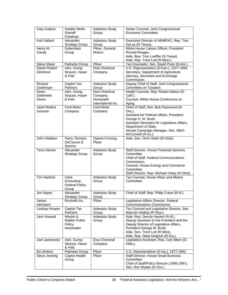| <b>Gary Gallant</b>             | Swidler Berlin<br>Shereff<br>Friedman                        | <b>Asbestos Study</b><br>Group                              | Senior Counsel, Joint Congressional<br>Economic Committee.                                                                                                                                                                                               |
|---------------------------------|--------------------------------------------------------------|-------------------------------------------------------------|----------------------------------------------------------------------------------------------------------------------------------------------------------------------------------------------------------------------------------------------------------|
| Karl Gallant                    | Alexander<br><b>Strategy Group</b>                           | <b>Asbestos Study</b><br>Group                              | Executive Director of ARMPAC, Rep. Tom<br>DeLay (R-Texas).                                                                                                                                                                                               |
| Henry M.<br>Gandy               | Duberstein<br>Group                                          | Pfizer, General<br>Motors                                   | White House Liaison Officer, President<br>Ronald Reagan.<br>Aide, Rep. Tom Loeffler (R-Texas).<br>Aide, Rep. Trent Lott (R-Miss.).                                                                                                                       |
| <b>Steve Glaze</b>              | Palmetto Group                                               | Pfizer                                                      | Tax Counselor, Sen. David Pryor (D-Ark.).                                                                                                                                                                                                                |
| Daniel Robert<br>Glickman       | Akin, Gump,<br>Strauss, Hauer<br>& Feld                      | Dow Chemical<br>Company                                     | U.S. Representative (D-Kan.), 1977-1994.<br>Secretary, Department of Agriculture.<br>Attorney, Securities and Exchange<br>Commission.                                                                                                                    |
| Richard<br>Grafmeyer            | Capitol Tax<br>Partners                                      | <b>Asbestos Study</b><br>Group                              | Deputy Chief of Staff, Joint Congressional<br>Committee on Taxation.                                                                                                                                                                                     |
| Karen<br>Goldmeier<br>Green     | Akin, Gump,<br>Strauss, Hauer<br>& Feld                      | Dow Chemical<br>Company,<br>Honeywell<br>International Inc. | Health Counsel, Rep. Robert Matsui (D-<br>Calif.).<br>Counsel, White House Conference on<br>Aging.                                                                                                                                                       |
| <b>Janet Mullins</b><br>Grissom | Ford Motor<br>Company                                        | Ford Motor<br>Company                                       | Chief of Staff, Sen. Bob Packwood (R-<br>Ore.).<br>Assistant for Political Affairs, President<br>George H. W. Bush.<br>Assistant Secretary for Legislative Affairs,<br>Department of State.<br>Senate Campaign Manager, Sen. Mitch<br>McConnell (R-Ky.). |
| John Haddow                     | Parry, Romani,<br>DeConcini &<br>Symms                       | Owens-Corning,<br>Pfizer                                    | Aide, Sen. Orrin Hatch (R-Utah).                                                                                                                                                                                                                         |
| <b>Terry Haines</b>             | Alexander<br><b>Strategy Group</b>                           | <b>Asbestos Study</b><br>Group                              | Staff Director, House Financial Services<br>Committee.<br>Chief of Staff, Federal Communications<br>Commission.<br>Counsel, House Energy and Commerce<br>Committee.<br>Staff Director, Rep. Michael Oxley (R-Ohio).                                      |
| <b>Tim Hanford</b>              | <b>Clark</b><br>Consulting<br><b>Federal Policy</b><br>Group | Asbestos Study<br>Group                                     | Tax Counsel, House Ways and Means<br>Committee.                                                                                                                                                                                                          |
| Jim Hayes                       | Alexander<br><b>Strategy Group</b>                           | Asbestos Study<br>Group                                     | Chief of Staff, Rep. Philip Crane (R-III.).                                                                                                                                                                                                              |
| James<br>Heinbach               | Ricchetti Inc.                                               | Pfizer                                                      | Legislative Affairs Director, Federal<br>Communications Commission.                                                                                                                                                                                      |
| Lindsay Hooper                  | Capitol Tax<br>Partners                                      | <b>Asbestos Study</b><br>Group                              | Tax Counsel and Legislative Director, Sen.<br>Malcolm Wallop (R-Wyo.)                                                                                                                                                                                    |
| Jack Howard                     | Wexler &<br><b>Walker Public</b><br>Policy<br>Associates     | <b>Asbestos Study</b><br>Group                              | Aide, Rep. Dennis Hastert (R-III.).<br>Deputy Assistant to the President and the<br>Deputy Director of Legislative Affairs,<br>President George W. Bush.<br>Aide, Sen. Trent Lott (R-Miss).<br>Aide, Rep. Newt Gingrich (R-Ga.).                         |
| Joel Jankowsky                  | Akin, Gump,<br>Strauss, Hauer<br>& Feld                      | Dow Chemical<br>Company                                     | Legislative Assistant, Rep. Carl Albert (D-<br>Okla.).                                                                                                                                                                                                   |
| Ed Jenkins                      | Palmetto Group                                               | Pfizer                                                      | U.S. Representative (D-Ga.), 1977-1992.                                                                                                                                                                                                                  |
| Steve Jenning                   | Capitol Health<br>Group                                      | Pfizer                                                      | Staff Director, House Small Business<br>Committee.<br>Chief of Staff/Policy Director (1986-1987),<br>Sen. Ron Wyden (D-Ore.)                                                                                                                             |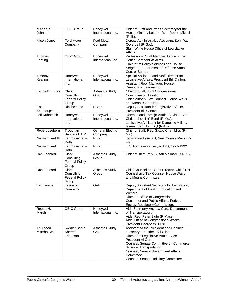| Michael $\overline{S}$ .<br>Johnson | OB-C Group                                            | Honeywell<br>International Inc.    | Chief of Staff and Press Secretary for the<br>House Minority Leader, Rep. Robert Michel<br>$(R-III.).$                                                                                                                                                                                                        |
|-------------------------------------|-------------------------------------------------------|------------------------------------|---------------------------------------------------------------------------------------------------------------------------------------------------------------------------------------------------------------------------------------------------------------------------------------------------------------|
| Alison Jones                        | Ford Motor<br>Company                                 | Ford Motor<br>Company              | Deputy Administrative Assistant, Sen. Paul<br>Coverdell (R-Ga.).<br>Staff, White House Office of Legislative<br>Affairs.                                                                                                                                                                                      |
| Thomas<br>Keating                   | OB-C Group                                            | Honeywell<br>International Inc.    | Professional Staff Member, Office of the<br>House Sergeant At Arms.<br>Director of Policy Services and House<br>Sergeant, Department of Defense Arms<br>Control Bureau.                                                                                                                                       |
| Timothy<br>Keating                  | Honeywell<br>International<br>Inc.                    | Honeywell<br>International Inc.    | Special Assistant and Staff Director for<br>Legislative Affairs, President Bill Clinton.<br>Assistant Floor Manager, House<br>Democratic Leadership.                                                                                                                                                          |
| Kenneth J. Kies                     | Clark<br>Consulting<br><b>Federal Policy</b><br>Group | Asbestos Study<br>Group            | Chief of Staff, Joint Congressional<br>Committee on Taxation.<br>Chief Minority Tax Counsel, House Ways<br>and Means Committee.                                                                                                                                                                               |
| Lisa<br>Kountoupes                  | Ricchetti Inc.                                        | Pfizer                             | Deputy Assistant for Legislative Affairs,<br>President Bill Clinton.                                                                                                                                                                                                                                          |
| Jeff Kuhnreich                      | Honeywell<br>International<br>Inc.                    | Honeywell<br>International Inc.    | Defense and Foreign Affairs Advisor, Sen.<br>Christopher "Kit" Bond (R-Mo.).<br>Legislative Assistant for Domestic Military<br>Issues, Sen. John Kyl (R-Ariz.).                                                                                                                                               |
| Robert Leebern<br>Jr.               | Troutman<br>Sanders L.L.P.                            | <b>General Electric</b><br>Company | Chief of Staff, Rep. Saxby Chambliss (R-<br>Ga.).                                                                                                                                                                                                                                                             |
| Norman Lent III                     | Lent Scrivner &<br>Roth                               | Pfizer                             | Legislative Assistant, Sen. Connie Mack (R-<br>Fla.).                                                                                                                                                                                                                                                         |
| Norman Lent                         | Lent Scrivner &<br>Roth                               | Pfizer                             | U.S. Representative (R-N.Y.), 1971-1992                                                                                                                                                                                                                                                                       |
| Dan Leonard                         | Clark<br>Consulting<br><b>Federal Policy</b><br>Group | Asbestos Study<br>Group            | Chief of staff, Rep. Susan Molinari (R-N.Y.).                                                                                                                                                                                                                                                                 |
| Rob Leonard                         | Clark<br>Consulting<br><b>Federal Policy</b><br>Group | <b>Asbestos Study</b><br>Group     | Chief Counsel and Staff Director, Chief Tax<br>Counsel and Tax Counsel, House Ways<br>and Means Committee.                                                                                                                                                                                                    |
| Ken Levine                          | Levine &<br>Company                                   | <b>GAF</b>                         | Deputy Assistant Secretary for Legislation,<br>Department of Health, Education and<br>Welfare.<br>Director, Office of Congressional,<br>Consumer and Public Affairs, Federal<br>Energy Regulatory Commission.                                                                                                 |
| Robert H.<br>Marsh                  | <b>OB-C Group</b>                                     | Honeywell<br>International Inc.    | Aide Secretary Andrew Card, Department<br>of Transportation.<br>Aide, Rep. Peter Blute (R-Mass.).<br>Aide, Office of Congressional Affairs,<br>President George W. Bush.                                                                                                                                      |
| Thurgood<br>Marshall Jr.            | Swidler Berlin<br>Shereff<br>Friedman                 | <b>Asbestos Study</b><br>Group     | Assistant to the President and Cabinet<br>secretary, President Bill Clinton.<br>Director of Legislative Affairs, Vice<br>President Al Gore.<br>Counsel, Senate Committee on Commerce,<br>Science, Transportation.<br>Counsel, Senate Government Affairs<br>Committee.<br>Counsel, Senate Judiciary Committee. |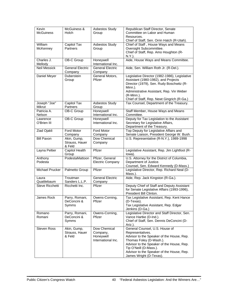| Kevin<br><b>McGuiness</b> | McGuiness &<br>Holch                    | Asbestos Study<br>Group                                     | Republican Staff Director, Senate<br>Committee on Labor and Human<br>Resources.                                                                                                                                                                                           |
|---------------------------|-----------------------------------------|-------------------------------------------------------------|---------------------------------------------------------------------------------------------------------------------------------------------------------------------------------------------------------------------------------------------------------------------------|
|                           |                                         |                                                             | Chief of Staff, Sen. Orrin Hatch (R-Utah).                                                                                                                                                                                                                                |
| William                   | Capitol Tax                             | <b>Asbestos Study</b>                                       | Chief of Staff, House Ways and Means                                                                                                                                                                                                                                      |
| McKenney                  | Partners                                | Group                                                       | Oversight Subcommittee.<br>Chief of Staff, Rep. Amo Houghton (R-<br>N.Y.).                                                                                                                                                                                                |
| Charles J.                | OB-C Group                              | Honeywell                                                   | Aide, House Ways and Means Committee.                                                                                                                                                                                                                                     |
| Mellody                   |                                         | International Inc.                                          |                                                                                                                                                                                                                                                                           |
| <b>Neil Messick</b>       | <b>General Electric</b><br>Company      | <b>General Electric</b><br>Company                          | Aide, Sen. William Roth Jr. (R-Del.).                                                                                                                                                                                                                                     |
| Daniel Meyer              | Duberstein<br>Group                     | General Motors,<br>Pfizer                                   | Legislative Director (1982-1986), Legislative<br>Assistant (1980-1982), and Projects<br>Director (1979), Sen. Rudy Boschwitz (R-<br>Minn.).<br>Administrative Assistant, Rep. Vin Weber<br>$(R$ -Minn.).<br>Chief of Staff, Rep. Newt Gingrich (R-Ga.)                    |
| Joseph "Joe"              | Capitol Tax                             | Asbestos Study                                              | Tax Counsel, Department of the Treasury.                                                                                                                                                                                                                                  |
| Mikrut                    | Partners                                | Group                                                       |                                                                                                                                                                                                                                                                           |
| Patricia A.               | OB-C Group                              | Honeywell                                                   | Staff Member, House Ways and Means                                                                                                                                                                                                                                        |
| Nelson                    |                                         | International Inc.                                          | Committee.                                                                                                                                                                                                                                                                |
| Lawrence                  | <b>OB-C Group</b>                       | Honeywell                                                   | Deputy for Tax Legislation to the Assistant                                                                                                                                                                                                                               |
| O'Brien III               |                                         | International Inc.                                          | Secretary for Legislative Affairs,                                                                                                                                                                                                                                        |
| <b>Ziad Ojakli</b>        | <b>Ford Motor</b>                       | <b>Ford Motor</b>                                           | Department of the Treasury.<br>Top Deputy for Legislative Affairs and                                                                                                                                                                                                     |
|                           | Company                                 | Company                                                     | Senate Liaison, President George W. Bush.                                                                                                                                                                                                                                 |
| <b>Bill Paxon</b>         | Akin, Gump,                             | Dow Chemical                                                | U.S. Representative (R-N.Y.), 1989-1998                                                                                                                                                                                                                                   |
|                           | Strauss, Hauer<br>& Feld                | Company                                                     |                                                                                                                                                                                                                                                                           |
| Layna Peltier             | Capitol Health<br>Group                 | Pfizer                                                      | Legislative Assistant, Rep. Jim Lightfoot (R-<br>lowa).                                                                                                                                                                                                                   |
| Anthony<br>Podesta        | PodestaMattoon                          | Pfizer, General<br><b>Electric Company</b>                  | U.S. Attorney for the District of Columbia,<br>Department of Justice.<br>Counsel, Sen. Edward Kennedy (D-Mass.)                                                                                                                                                           |
| Michael Prucker           | Palmetto Group                          | Pfizer                                                      | Legislative Director, Rep. Richard Neal (D-<br>Mass.).                                                                                                                                                                                                                    |
| Laura                     | Troutman                                | <b>General Electric</b>                                     | Aide, Rep. Jack Kingston (R-Ga.).                                                                                                                                                                                                                                         |
| Quattlebaum               | Sanders L.L.P.                          | Company                                                     |                                                                                                                                                                                                                                                                           |
| Steve Ricchetti           | Ricchetti Inc.                          | Pfizer                                                      | Deputy Chief of Staff and Deputy Assistant<br>for Senate Legislative Affairs (1993-1996),<br>President Bill Clinton.                                                                                                                                                      |
| James Rock                | Parry, Romani,<br>DeConcini &<br>Symms  | Owens-Corning,<br>Pfizer                                    | Tax Legislative Assistant, Rep. Kent Hance<br>(D-Texas).<br>Tax Legislative Assistant, Rep. Edgar<br>Jenkins (D-Ga.)                                                                                                                                                      |
| Romano<br>Romani          | Parry, Romani,<br>DeConcini &<br>Symms  | Owens-Corning,<br>Pfizer                                    | Legislative Director and Staff Director, Sen.<br>Vance Hartke (D-Ind.).<br>Chief of Staff, Sen. Dennis DeConcini (D-<br>Ariz.).                                                                                                                                           |
| Steven Ross               | Akin, Gump,<br>Strauss, Hauer<br>& Feld | Dow Chemical<br>Company,<br>Honeywell<br>International Inc. | General Counsel, U.S. House of<br>Representatives.<br>Advisor to the Speaker of the House, Rep.<br>Thomas Foley (D-Wash.).<br>Advisor to the Speaker of the House, Rep.<br>Tip O'Neill (D-Mass.).<br>Advisor to the Speaker of the House, Rep.<br>James Wright (D-Texas). |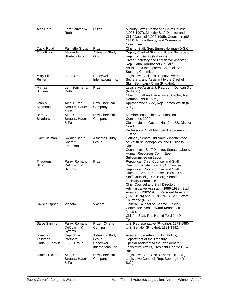| Alan Roth                       | Lent Scrivner &<br>Roth                 | Pfizer                          | Minority Staff Director and Chief Counsel<br>(1995-1997), Majority Staff Director and<br>Chief Counsel (1992-1995), Counsel (1985-<br>1992), House Energy and Commerce<br>Committee.                                                                                                                                                                                                                                       |
|---------------------------------|-----------------------------------------|---------------------------------|----------------------------------------------------------------------------------------------------------------------------------------------------------------------------------------------------------------------------------------------------------------------------------------------------------------------------------------------------------------------------------------------------------------------------|
| David Rudd                      | Palmetto Group                          | Pfizer                          | Chief of Staff, Sen. Ernest Hollings (D-S.C.)                                                                                                                                                                                                                                                                                                                                                                              |
| <b>Tony Rudy</b>                | Alexander<br><b>Strategy Group</b>      | <b>Asbestos Study</b><br>Group  | Deputy Chief of Staff and Press Secretary,<br>Rep. Tom DeLay (R-Texas).<br>Press Secretary and Legislative Assistant,<br>Rep. Dana Rohrbacher (R-Calif.).<br>Assistant to the General Counsel, Senate<br>Steering Committee.                                                                                                                                                                                               |
| Mary Ellen<br>Ruhlen            | <b>OB-C Group</b>                       | Honeywell<br>International Inc. | Legislative Assistant, Deputy Press<br>Secretary, and Assistant to the Chief of<br>Staff, Sen. Larry Craig (R-Idaho).                                                                                                                                                                                                                                                                                                      |
| Michael<br>Scrivner             | Lent Scrivner &<br>Roth                 | Pfizer                          | Legislative Assistant, Rep. John Duncan Sr.<br>$(R-Tenn.)$ .<br>Chief of Staff and Legislative Director, Rep.<br>Norman Lent (R-N.Y.)                                                                                                                                                                                                                                                                                      |
| John M.<br>Simmons              | Akin, Gump,<br>Strauss, Hauer<br>& Feld | Dow Chemical<br>Company         | Appropriations Aide, Rep. James Walsh (R-<br>N.Y.).                                                                                                                                                                                                                                                                                                                                                                        |
| Barney<br>Skladany              | Akin, Gump,<br>Strauss, Hauer<br>& Feld | Dow Chemical<br>Company         | Member, Bush-Cheney Transition<br>Committee 2000.<br>Clerk to Judge George Hart Jr., U.S. District<br>Court.<br>Professional Staff Member, Department of<br>Justice.                                                                                                                                                                                                                                                       |
| Gary Slaiman                    | Swidler Berlin<br>Shereff<br>Friedman   | <b>Asbestos Study</b><br>Group  | Counsel, Senate Judiciary Subcommittee<br>on Antitrust, Monopolies, and Business<br>Rights.<br>Counsel and Staff Director, Senate Labor &<br><b>Human Resources Committee</b><br>Subcommittee on Labor.                                                                                                                                                                                                                    |
| <b>Thaddeus</b><br><b>Strom</b> | Parry, Romani,<br>DeConcini &<br>Symms  | Pfizer                          | Republican Chief Counsel and Staff<br>Director, Senate Judiciary Committee.<br>Republican Chief Counsel and Staff<br>Director, General Counsel (1989-1991),<br>Staff Counsel (1985-1986), Senate<br>Judiciary Committee.<br>Chief Counsel and Staff Director,<br>Administrative Assistant (1986-1988), Staff<br>Assistant (1982-1985), Personal Assistant<br>(1975-1976) and (1978-1979), Sen. Strom<br>Thurmond (R-S.C.). |
| David Sutphen                   | Viacom                                  | Viacom                          | General Counsel on Senate Judiciary<br>Committee, Sen. Edward Kennedy (D-<br>Mass.).<br>Chief of Staff, Rep Harold Ford Jr. (D-<br>Tenn.).                                                                                                                                                                                                                                                                                 |
| Steve Symms                     | Parry, Romani,<br>DeConcini &<br>Symms  | Pfizer, Owens-<br>Corning       | U.S. Representative (R-Idaho), 1973-1980.<br>U.S. Senator (R-Idaho), 1981-1992.                                                                                                                                                                                                                                                                                                                                            |
| Jonathan<br>Talisman            | Capitol Tax<br>Partners                 | Asbestos Study<br>Group         | Assistant Secretary for Tax Policy,<br>Department of the Treasury.                                                                                                                                                                                                                                                                                                                                                         |
| Linda E. Tarplin                | OB-C Group                              | Honeywell<br>International Inc. | Special Assistant to the President for<br>Legislative Affairs, President George H. W.<br>Bush.                                                                                                                                                                                                                                                                                                                             |
| James Tucker                    | Akin, Gump,<br>Strauss, Hauer<br>& Feld | Dow Chemical<br>Company         | Legislative Aide, Sen. Coverdell (R-Ga.).<br>Legislative Counsel, Rep. Bob Inglis (R-<br>$S.C.$ ).                                                                                                                                                                                                                                                                                                                         |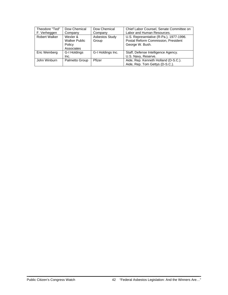| Theodore "Ted"       | Dow Chemical         | Dow Chemical          | Chief Labor Counsel, Senate Committee on |
|----------------------|----------------------|-----------------------|------------------------------------------|
| F. Verheggen         | Company              | Company               | Labor and Human Resources.               |
| <b>Robert Walker</b> | Wexler &             | <b>Asbestos Study</b> | U.S. Representative (R-Pa.), 1977-1996.  |
|                      | <b>Walker Public</b> | Group                 | Postal Reform Commission, President      |
|                      | Policy               |                       | George W. Bush.                          |
|                      | Associates           |                       |                                          |
| Eric Weinberg        | G-I Holdings         | G-I Holdings Inc.     | Staff, Defense Intelligence Agency.      |
|                      | Inc.                 |                       | U.S. Navy, Reserve.                      |
| John Winburn         | Palmetto Group       | Pfizer                | Aide, Rep. Kenneth Holland (D-S.C.).     |
|                      |                      |                       | Aide, Rep. Tom Gettys (D-S.C.).          |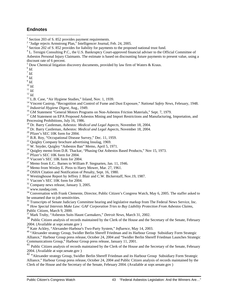#### **Endnotes**

 $<sup>5</sup>$  Dow Chemical litigation discovery documents, provided by law firm of Waters & Kraus.</sup>

 $\overline{a}$ 

<sup>8</sup> *Id.* 

<sup>9</sup> *Id.* 

<sup>11</sup> *Id.*<br><sup>12</sup> *Id.*<br><sup>13</sup> L.B. Case, "Air Hygiene Studies," Inland, Nov. 1, 1939.<br><sup>14</sup> Vincent Castrop, "Recognition and Control of Fume and Dust Exposure," *National Safety News*, February, 1948.<br><sup>15</sup> *Industrial Hygien* 

- 
- 

Processing Prohibitions, July 16, 1986.<br><sup>18</sup> Dr. Barry Castleman, Asbestos: Medical and Legal Aspects, November 18, 2004.

- <sup>19</sup> Dr. Barry Castleman, *Asbestos: Medical and Legal Aspects*, November 18, 2004.<br><sup>20</sup> Pfizer's SEC 10K form for 2004.<br><sup>21</sup> B.R. Roy, "Occupational Disease Survey," Dec. 11, 1959.
- 
- 
- $22$  Quigley Company brochure advertising Insulag, 1969.
- $23$  W. Snyder, Quigley "Asbestos Ban" Memo, April 5, 1971.
- <sup>24</sup> Quigley memo from D.R. Thackar, "Phasing Out Asbestos Based Products," Nov 15, 1973.
- <sup>25</sup> Pfizer's SEC 10K form for 2004.
- 26 Viacom's SEC 10K form for 2004.
- <sup>27</sup> Memo from E.C.. Barnes to William P. Stegnarten, Jan. 11, 1946.<br><sup>28</sup> Memo from Wesley E. Piros to Harry Mower, Mar. 27, 1961.
- 
- <sup>29</sup> OSHA Citation and Notification of Penalty, Sept. 16, 1980.
- <sup>30</sup> Westinghouse Report by Jeffrey J. Blair and C.W. Bickerstaff, Nov.19, 1987.
- <sup>31</sup> Viacom's SEC 10K form for 2004.
- 32 Company news release, January 3, 2005.
- 33 www.nasdaq.com.

<sup>34</sup> Conversation with Frank Clemente, Director, Public Citizen's Congress Watch, May 6, 2005. The staffer asked to be unnamed due to job sensitivities.

<sup>35</sup> Transcripts of Senate Judiciary Committee hearing and legislative markup from The Federal News Service, Inc.<br><sup>36</sup> How Special Interests Make Law: GAF Corporation Tries to Buy Liability Protection From Asbestos Claims,

Public Citizen, March 9, 2000.

37 Mark Truby, "Asbestos Suits Haunt Carmakers," *Detroit News*, March 31, 2002.

<sup>38</sup> Public Citizen analysis of records maintained by the Clerk of the House and the Secretary of the Senate, February 2004. (Available at sopr.senate.gov )<br><sup>39</sup> Kate Ackley, "Alexander-Harbour's Two-Party System," *Influence*, May 14, 2003.

<sup>40</sup> "Alexander strategy Group, Swidler Berlin Shereff Friedman and its Harbour Group Subsidiary Form Strategic Alliance," Harbour Group press release, October 24, 2004 and "Swidler Berlin Shereff Friedman Launches Strategic Communications Group," Harbour Group press release, January 11, 2001.

<sup>41</sup> Public Citizen analysis of records maintained by the Clerk of the House and the Secretary of the Senate, February 2004. (Available at sopr.senate.gov )

42 "Alexander strategy Group, Swidler Berlin Shereff Friedman and its Harbour Group Subsidiary Form Strategic Alliance," Harbour Group press release, October 24, 2004 and Public Citizen analysis of records maintained by the Clerk of the House and the Secretary of the Senate, February 2004. (Available at sopr.senate.gov )

<sup>&</sup>lt;sup>1</sup> Section 203 of S. 852 provides payment requirements.

<sup>&</sup>lt;sup>2</sup> "Judge rejects Armstrong Plan," Intelligencer Journal, Feb. 24, 2005.

 $3$  Section 202 of S. 852 provides for liability for payments to the proposed national trust fund.

<sup>&</sup>lt;sup>4</sup> L. Tersigni Consulting P.C., the U.S. Bankruptcy Court-approved financial adviser to the Official Committee of Asbestos Personal Injury Claimants. The estimate is based on discounting future payments to present value, using a discount rate of 6 percent.

 $6$   $Id.$ 

 $^7$   $\mathit{Id}.$